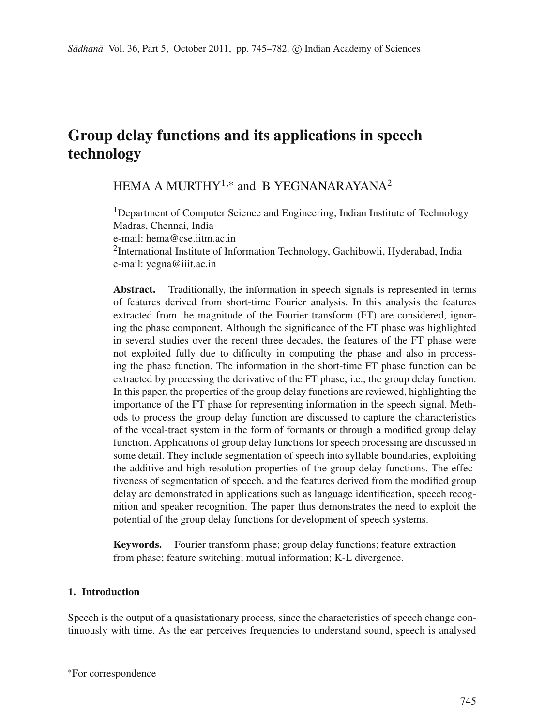# **Group delay functions and its applications in speech technology**

## HEMA A MURTHY<sup>1,\*</sup> and B YEGNANARAYANA<sup>2</sup>

<sup>1</sup>Department of Computer Science and Engineering, Indian Institute of Technology Madras, Chennai, India e-mail: hema@cse.iitm.ac.in <sup>2</sup>International Institute of Information Technology, Gachibowli, Hyderabad, India e-mail: yegna@iiit.ac.in

**Abstract.** Traditionally, the information in speech signals is represented in terms of features derived from short-time Fourier analysis. In this analysis the features extracted from the magnitude of the Fourier transform (FT) are considered, ignoring the phase component. Although the significance of the FT phase was highlighted in several studies over the recent three decades, the features of the FT phase were not exploited fully due to difficulty in computing the phase and also in processing the phase function. The information in the short-time FT phase function can be extracted by processing the derivative of the FT phase, i.e., the group delay function. In this paper, the properties of the group delay functions are reviewed, highlighting the importance of the FT phase for representing information in the speech signal. Methods to process the group delay function are discussed to capture the characteristics of the vocal-tract system in the form of formants or through a modified group delay function. Applications of group delay functions for speech processing are discussed in some detail. They include segmentation of speech into syllable boundaries, exploiting the additive and high resolution properties of the group delay functions. The effectiveness of segmentation of speech, and the features derived from the modified group delay are demonstrated in applications such as language identification, speech recognition and speaker recognition. The paper thus demonstrates the need to exploit the potential of the group delay functions for development of speech systems.

**Keywords.** Fourier transform phase; group delay functions; feature extraction from phase; feature switching; mutual information; K-L divergence.

### **1. Introduction**

Speech is the output of a quasistationary process, since the characteristics of speech change continuously with time. As the ear perceives frequencies to understand sound, speech is analysed

<sup>∗</sup>For correspondence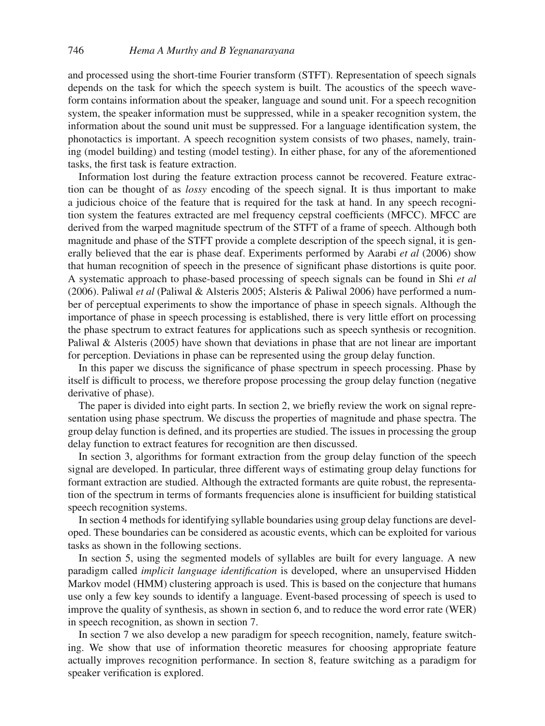and processed using the short-time Fourier transform (STFT). Representation of speech signals depends on the task for which the speech system is built. The acoustics of the speech waveform contains information about the speaker, language and sound unit. For a speech recognition system, the speaker information must be suppressed, while in a speaker recognition system, the information about the sound unit must be suppressed. For a language identification system, the phonotactics is important. A speech recognition system consists of two phases, namely, training (model building) and testing (model testing). In either phase, for any of the aforementioned tasks, the first task is feature extraction.

Information lost during the feature extraction process cannot be recovered. Feature extraction can be thought of as *lossy* encoding of the speech signal. It is thus important to make a judicious choice of the feature that is required for the task at hand. In any speech recognition system the features extracted are mel frequency cepstral coefficients (MFCC). MFCC are derived from the warped magnitude spectrum of the STFT of a frame of speech. Although both magnitude and phase of the STFT provide a complete description of the speech signal, it is generally believed that the ear is phase deaf. Experiments performed by Aarabi *et al* (2006) show that human recognition of speech in the presence of significant phase distortions is quite poor. A systematic approach to phase-based processing of speech signals can be found in Shi *et al* (2006). Paliwal *et al* (Paliwal & Alsteris 2005; Alsteris & Paliwal 2006) have performed a number of perceptual experiments to show the importance of phase in speech signals. Although the importance of phase in speech processing is established, there is very little effort on processing the phase spectrum to extract features for applications such as speech synthesis or recognition. Paliwal & Alsteris (2005) have shown that deviations in phase that are not linear are important for perception. Deviations in phase can be represented using the group delay function.

In this paper we discuss the significance of phase spectrum in speech processing. Phase by itself is difficult to process, we therefore propose processing the group delay function (negative derivative of phase).

The paper is divided into eight parts. In section 2, we briefly review the work on signal representation using phase spectrum. We discuss the properties of magnitude and phase spectra. The group delay function is defined, and its properties are studied. The issues in processing the group delay function to extract features for recognition are then discussed.

In section 3, algorithms for formant extraction from the group delay function of the speech signal are developed. In particular, three different ways of estimating group delay functions for formant extraction are studied. Although the extracted formants are quite robust, the representation of the spectrum in terms of formants frequencies alone is insufficient for building statistical speech recognition systems.

In section 4 methods for identifying syllable boundaries using group delay functions are developed. These boundaries can be considered as acoustic events, which can be exploited for various tasks as shown in the following sections.

In section 5, using the segmented models of syllables are built for every language. A new paradigm called *implicit language identification* is developed, where an unsupervised Hidden Markov model (HMM) clustering approach is used. This is based on the conjecture that humans use only a few key sounds to identify a language. Event-based processing of speech is used to improve the quality of synthesis, as shown in section 6, and to reduce the word error rate (WER) in speech recognition, as shown in section 7.

In section 7 we also develop a new paradigm for speech recognition, namely, feature switching. We show that use of information theoretic measures for choosing appropriate feature actually improves recognition performance. In section 8, feature switching as a paradigm for speaker verification is explored.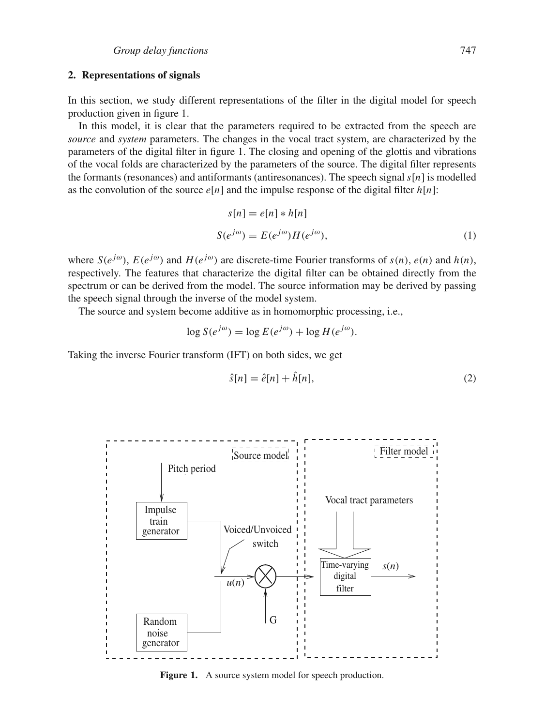#### **2. Representations of signals**

In this section, we study different representations of the filter in the digital model for speech production given in figure 1.

In this model, it is clear that the parameters required to be extracted from the speech are *source* and *system* parameters. The changes in the vocal tract system, are characterized by the parameters of the digital filter in figure 1. The closing and opening of the glottis and vibrations of the vocal folds are characterized by the parameters of the source. The digital filter represents the formants (resonances) and antiformants (antiresonances). The speech signal *s*[*n*] is modelled as the convolution of the source  $e[n]$  and the impulse response of the digital filter  $h[n]$ :

$$
s[n] = e[n] * h[n]
$$
  
\n
$$
S(e^{j\omega}) = E(e^{j\omega})H(e^{j\omega}),
$$
\n(1)

where  $S(e^{j\omega})$ ,  $E(e^{j\omega})$  and  $H(e^{j\omega})$  are discrete-time Fourier transforms of  $s(n)$ ,  $e(n)$  and  $h(n)$ , respectively. The features that characterize the digital filter can be obtained directly from the spectrum or can be derived from the model. The source information may be derived by passing the speech signal through the inverse of the model system.

The source and system become additive as in homomorphic processing, i.e.,

$$
\log S(e^{j\omega}) = \log E(e^{j\omega}) + \log H(e^{j\omega}).
$$

Taking the inverse Fourier transform (IFT) on both sides, we get

$$
\hat{s}[n] = \hat{e}[n] + \hat{h}[n],\tag{2}
$$



Figure 1. A source system model for speech production.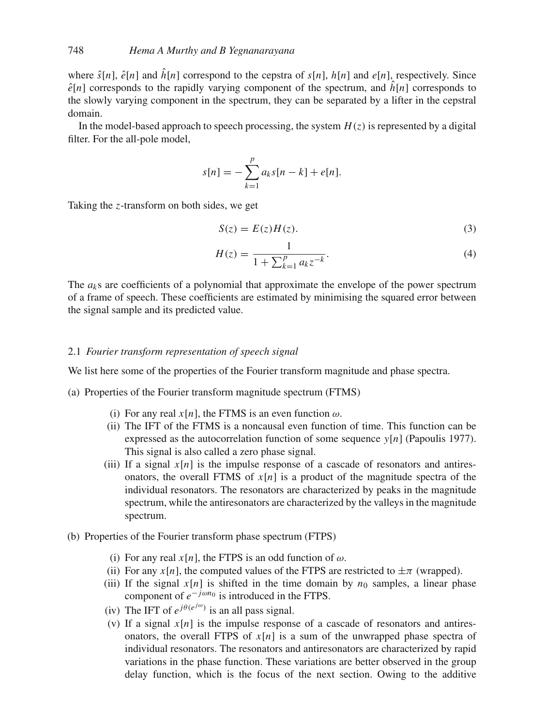where  $\hat{s}[n]$ ,  $\hat{e}[n]$  and  $\hat{h}[n]$  correspond to the cepstra of  $s[n]$ ,  $h[n]$  and  $e[n]$ , respectively. Since  $\hat{e}[n]$  corresponds to the rapidly varying component of the spectrum, and  $\hat{h}[n]$  corresponds to the slowly varying component in the spectrum, they can be separated by a lifter in the cepstral domain.

In the model-based approach to speech processing, the system  $H(z)$  is represented by a digital filter. For the all-pole model,

$$
s[n] = -\sum_{k=1}^{p} a_k s[n-k] + e[n].
$$

Taking the *z*-transform on both sides, we get

$$
S(z) = E(z)H(z). \tag{3}
$$

$$
H(z) = \frac{1}{1 + \sum_{k=1}^{p} a_k z^{-k}}.
$$
\n(4)

The  $a_k$ <sub>s</sub> are coefficients of a polynomial that approximate the envelope of the power spectrum of a frame of speech. These coefficients are estimated by minimising the squared error between the signal sample and its predicted value.

#### 2.1 *Fourier transform representation of speech signal*

We list here some of the properties of the Fourier transform magnitude and phase spectra.

- (a) Properties of the Fourier transform magnitude spectrum (FTMS)
	- (i) For any real  $x[n]$ , the FTMS is an even function  $\omega$ .
	- (ii) The IFT of the FTMS is a noncausal even function of time. This function can be expressed as the autocorrelation function of some sequence  $v[n]$  (Papoulis 1977). This signal is also called a zero phase signal.
	- (iii) If a signal  $x[n]$  is the impulse response of a cascade of resonators and antiresonators, the overall FTMS of  $x[n]$  is a product of the magnitude spectra of the individual resonators. The resonators are characterized by peaks in the magnitude spectrum, while the antiresonators are characterized by the valleys in the magnitude spectrum.
- (b) Properties of the Fourier transform phase spectrum (FTPS)
	- (i) For any real  $x[n]$ , the FTPS is an odd function of  $\omega$ .
	- (ii) For any  $x[n]$ , the computed values of the FTPS are restricted to  $\pm \pi$  (wrapped).
	- (iii) If the signal  $x[n]$  is shifted in the time domain by  $n_0$  samples, a linear phase component of  $e^{-j\omega n_0}$  is introduced in the FTPS.
	- (iv) The IFT of  $e^{j\theta(e^{j\omega})}$  is an all pass signal.
	- (v) If a signal  $x[n]$  is the impulse response of a cascade of resonators and antiresonators, the overall FTPS of  $x[n]$  is a sum of the unwrapped phase spectra of individual resonators. The resonators and antiresonators are characterized by rapid variations in the phase function. These variations are better observed in the group delay function, which is the focus of the next section. Owing to the additive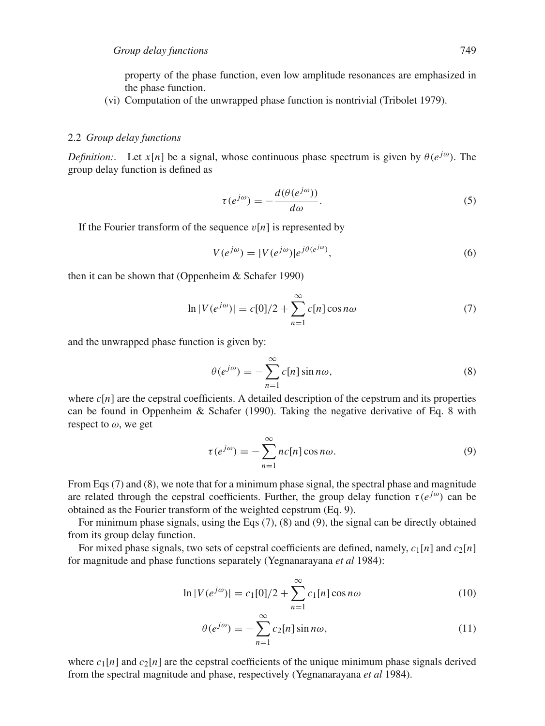property of the phase function, even low amplitude resonances are emphasized in the phase function.

(vi) Computation of the unwrapped phase function is nontrivial (Tribolet 1979).

#### 2.2 *Group delay functions*

*Definition:.* Let  $x[n]$  be a signal, whose continuous phase spectrum is given by  $\theta(e^{j\omega})$ . The group delay function is defined as

$$
\tau(e^{j\omega}) = -\frac{d(\theta(e^{j\omega}))}{d\omega}.
$$
\n(5)

If the Fourier transform of the sequence  $v[n]$  is represented by

$$
V(e^{j\omega}) = |V(e^{j\omega})|e^{j\theta(e^{j\omega})},\tag{6}
$$

then it can be shown that (Oppenheim & Schafer 1990)

$$
\ln|V(e^{j\omega})| = c[0]/2 + \sum_{n=1}^{\infty} c[n] \cos n\omega \tag{7}
$$

and the unwrapped phase function is given by:

$$
\theta(e^{j\omega}) = -\sum_{n=1}^{\infty} c[n] \sin n\omega,
$$
\n(8)

where  $c[n]$  are the cepstral coefficients. A detailed description of the cepstrum and its properties can be found in Oppenheim & Schafer (1990). Taking the negative derivative of Eq. 8 with respect to  $\omega$ , we get

$$
\tau(e^{j\omega}) = -\sum_{n=1}^{\infty} nc[n] \cos n\omega.
$$
 (9)

From Eqs (7) and (8), we note that for a minimum phase signal, the spectral phase and magnitude are related through the cepstral coefficients. Further, the group delay function  $\tau(e^{j\omega})$  can be obtained as the Fourier transform of the weighted cepstrum (Eq. 9).

For minimum phase signals, using the Eqs  $(7)$ ,  $(8)$  and  $(9)$ , the signal can be directly obtained from its group delay function.

For mixed phase signals, two sets of cepstral coefficients are defined, namely,  $c_1[n]$  and  $c_2[n]$ for magnitude and phase functions separately (Yegnanarayana *et al* 1984):

$$
\ln|V(e^{j\omega})| = c_1[0]/2 + \sum_{n=1}^{\infty} c_1[n] \cos n\omega \tag{10}
$$

$$
\theta(e^{j\omega}) = -\sum_{n=1}^{\infty} c_2[n] \sin n\omega,
$$
\n(11)

where  $c_1[n]$  and  $c_2[n]$  are the cepstral coefficients of the unique minimum phase signals derived from the spectral magnitude and phase, respectively (Yegnanarayana *et al* 1984).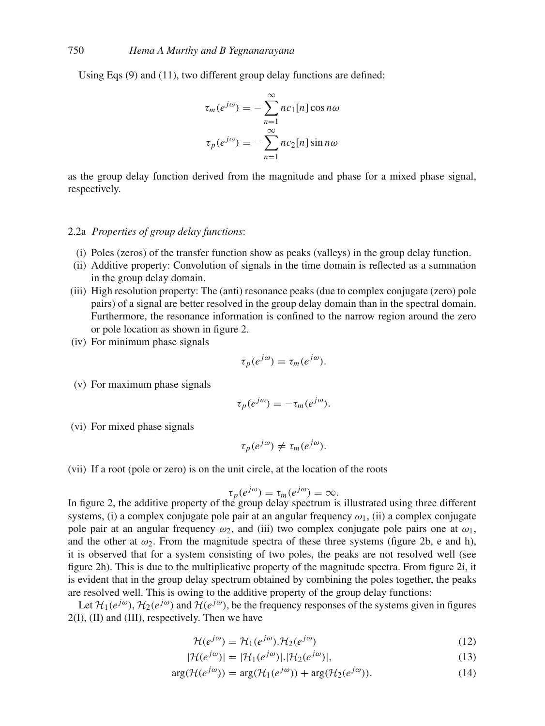Using Eqs (9) and (11), two different group delay functions are defined:

$$
\tau_m(e^{j\omega}) = -\sum_{n=1}^{\infty} nc_1[n] \cos n\omega
$$

$$
\tau_p(e^{j\omega}) = -\sum_{n=1}^{\infty} nc_2[n] \sin n\omega
$$

as the group delay function derived from the magnitude and phase for a mixed phase signal, respectively.

#### 2.2a *Properties of group delay functions*:

- (i) Poles (zeros) of the transfer function show as peaks (valleys) in the group delay function.
- (ii) Additive property: Convolution of signals in the time domain is reflected as a summation in the group delay domain.
- (iii) High resolution property: The (anti) resonance peaks (due to complex conjugate (zero) pole pairs) of a signal are better resolved in the group delay domain than in the spectral domain. Furthermore, the resonance information is confined to the narrow region around the zero or pole location as shown in figure 2.
- (iv) For minimum phase signals

$$
\tau_p(e^{j\omega})=\tau_m(e^{j\omega}).
$$

(v) For maximum phase signals

$$
\tau_p(e^{j\omega})=-\tau_m(e^{j\omega}).
$$

(vi) For mixed phase signals

$$
\tau_p(e^{j\omega}) \neq \tau_m(e^{j\omega}).
$$

(vii) If a root (pole or zero) is on the unit circle, at the location of the roots

$$
\tau_p(e^{j\omega}) = \tau_m(e^{j\omega}) = \infty.
$$

In figure 2, the additive property of the group delay spectrum is illustrated using three different systems, (i) a complex conjugate pole pair at an angular frequency  $\omega_1$ , (ii) a complex conjugate pole pair at an angular frequency  $\omega_2$ , and (iii) two complex conjugate pole pairs one at  $\omega_1$ , and the other at  $\omega_2$ . From the magnitude spectra of these three systems (figure 2b, e and h), it is observed that for a system consisting of two poles, the peaks are not resolved well (see figure 2h). This is due to the multiplicative property of the magnitude spectra. From figure 2i, it is evident that in the group delay spectrum obtained by combining the poles together, the peaks are resolved well. This is owing to the additive property of the group delay functions:

Let  $\mathcal{H}_1(e^{j\omega})$ ,  $\mathcal{H}_2(e^{j\omega})$  and  $\mathcal{H}(e^{j\omega})$ , be the frequency responses of the systems given in figures  $2(I)$ ,  $(II)$  and  $(III)$ , respectively. Then we have

$$
\mathcal{H}(e^{j\omega}) = \mathcal{H}_1(e^{j\omega}).\mathcal{H}_2(e^{j\omega})
$$
\n(12)

$$
|\mathcal{H}(e^{j\omega})| = |\mathcal{H}_1(e^{j\omega})| |\mathcal{H}_2(e^{j\omega})|,\tag{13}
$$

$$
\arg(\mathcal{H}(e^{j\omega})) = \arg(\mathcal{H}_1(e^{j\omega})) + \arg(\mathcal{H}_2(e^{j\omega})).
$$
\n(14)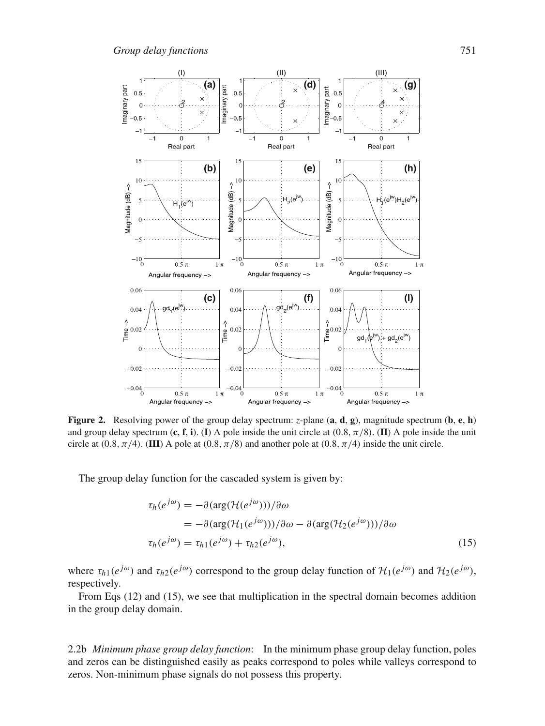

**Figure 2.** Resolving power of the group delay spectrum: *z*-plane (**a**, **d**, **g**), magnitude spectrum (**b**, **e**, **h**) and group delay spectrum  $(c, f, i)$ . (I) A pole inside the unit circle at  $(0.8, \pi/8)$ . (II) A pole inside the unit circle at  $(0.8, \pi/4)$ . (**III**) A pole at  $(0.8, \pi/8)$  and another pole at  $(0.8, \pi/4)$  inside the unit circle.

The group delay function for the cascaded system is given by:

$$
\tau_h(e^{j\omega}) = -\partial(\arg(\mathcal{H}(e^{j\omega})))/\partial\omega
$$
  
=  $-\partial(\arg(\mathcal{H}_1(e^{j\omega})))/\partial\omega - \partial(\arg(\mathcal{H}_2(e^{j\omega})))/\partial\omega$   
 $\tau_h(e^{j\omega}) = \tau_{h1}(e^{j\omega}) + \tau_{h2}(e^{j\omega}),$  (15)

where  $\tau_{h1}(e^{j\omega})$  and  $\tau_{h2}(e^{j\omega})$  correspond to the group delay function of  $\mathcal{H}_1(e^{j\omega})$  and  $\mathcal{H}_2(e^{j\omega})$ , respectively.

From Eqs (12) and (15), we see that multiplication in the spectral domain becomes addition in the group delay domain.

2.2b *Minimum phase group delay function*: In the minimum phase group delay function, poles and zeros can be distinguished easily as peaks correspond to poles while valleys correspond to zeros. Non-minimum phase signals do not possess this property.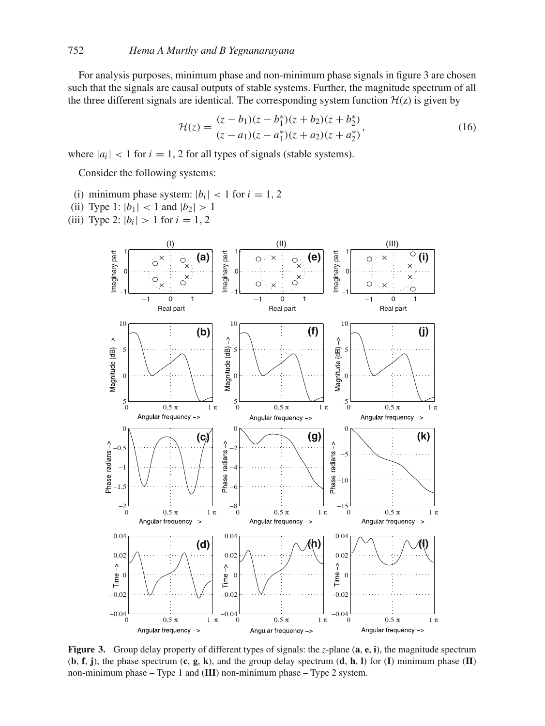For analysis purposes, minimum phase and non-minimum phase signals in figure 3 are chosen such that the signals are causal outputs of stable systems. Further, the magnitude spectrum of all the three different signals are identical. The corresponding system function  $H(z)$  is given by

$$
\mathcal{H}(z) = \frac{(z - b_1)(z - b_1^*)(z + b_2)(z + b_2^*)}{(z - a_1)(z - a_1^*)(z + a_2)(z + a_2^*)},\tag{16}
$$

where  $|a_i|$  < 1 for  $i = 1, 2$  for all types of signals (stable systems).

Consider the following systems:

- (i) minimum phase system:  $|b_i|$  < 1 for  $i = 1, 2$
- (ii) Type 1:  $|b_1|$  < 1 and  $|b_2|$  > 1
- (iii) Type 2:  $|b_i| > 1$  for  $i = 1, 2$



**Figure 3.** Group delay property of different types of signals: the *z*-plane (**a**, **e**, **i**), the magnitude spectrum (**b**, **f**, **j**), the phase spectrum (**c**, **g**, **k**), and the group delay spectrum (**d**, **h**, **l**) for (**I**) minimum phase (**II**) non-minimum phase – Type 1 and (**III**) non-minimum phase – Type 2 system.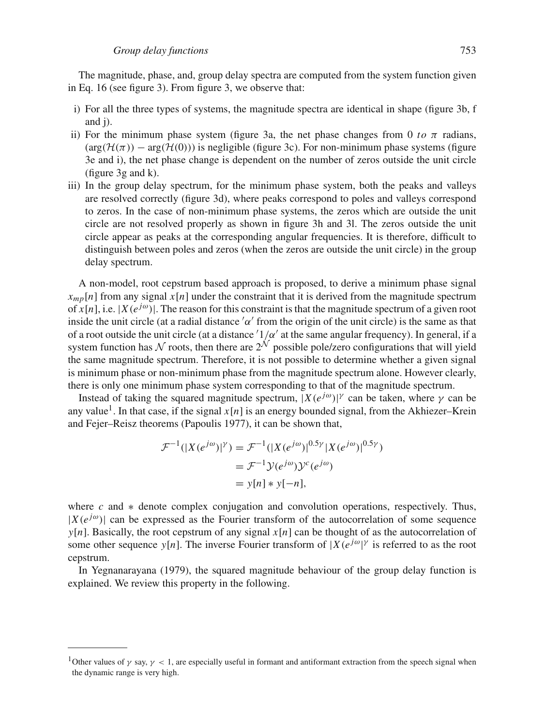The magnitude, phase, and, group delay spectra are computed from the system function given in Eq. 16 (see figure 3). From figure 3, we observe that:

- i) For all the three types of systems, the magnitude spectra are identical in shape (figure 3b, f and j).
- ii) For the minimum phase system (figure 3a, the net phase changes from 0  $to \pi$  radians,  $(\arg(\mathcal{H}(\pi)) - \arg(\mathcal{H}(0)))$  is negligible (figure 3c). For non-minimum phase systems (figure 3e and i), the net phase change is dependent on the number of zeros outside the unit circle (figure 3g and k).
- iii) In the group delay spectrum, for the minimum phase system, both the peaks and valleys are resolved correctly (figure 3d), where peaks correspond to poles and valleys correspond to zeros. In the case of non-minimum phase systems, the zeros which are outside the unit circle are not resolved properly as shown in figure 3h and 3l. The zeros outside the unit circle appear as peaks at the corresponding angular frequencies. It is therefore, difficult to distinguish between poles and zeros (when the zeros are outside the unit circle) in the group delay spectrum.

A non-model, root cepstrum based approach is proposed, to derive a minimum phase signal  $x_{mn}[n]$  from any signal  $x[n]$  under the constraint that it is derived from the magnitude spectrum of  $x[n]$ , i.e.  $|X(e^{j\omega})|$ . The reason for this constraint is that the magnitude spectrum of a given root inside the unit circle (at a radial distance  $\alpha'$  from the origin of the unit circle) is the same as that of a root outside the unit circle (at a distance  $1/\alpha'$  at the same angular frequency). In general, if a system function has N roots, then there are  $2^N$  possible pole/zero configurations that will yield the same magnitude spectrum. Therefore, it is not possible to determine whether a given signal is minimum phase or non-minimum phase from the magnitude spectrum alone. However clearly, there is only one minimum phase system corresponding to that of the magnitude spectrum.

Instead of taking the squared magnitude spectrum,  $|X(e^{j\omega})|^{\gamma}$  can be taken, where  $\gamma$  can be any value<sup>1</sup>. In that case, if the signal  $x[n]$  is an energy bounded signal, from the Akhiezer–Krein and Fejer–Reisz theorems (Papoulis 1977), it can be shown that,

$$
\mathcal{F}^{-1}(|X(e^{j\omega})|^{\gamma}) = \mathcal{F}^{-1}(|X(e^{j\omega})|^{0.5\gamma} |X(e^{j\omega})|^{0.5\gamma})
$$

$$
= \mathcal{F}^{-1} \mathcal{Y}(e^{j\omega}) \mathcal{Y}^{c}(e^{j\omega})
$$

$$
= y[n] * y[-n],
$$

where *c* and ∗ denote complex conjugation and convolution operations, respectively. Thus,  $|X(e^{j\omega})|$  can be expressed as the Fourier transform of the autocorrelation of some sequence *y*[*n*]. Basically, the root cepstrum of any signal *x*[*n*] can be thought of as the autocorrelation of some other sequence  $y[n]$ . The inverse Fourier transform of  $|X(e^{j\omega})^{\gamma}$  is referred to as the root cepstrum.

In Yegnanarayana (1979), the squared magnitude behaviour of the group delay function is explained. We review this property in the following.

<sup>&</sup>lt;sup>1</sup>Other values of  $\gamma$  say,  $\gamma$  < 1, are especially useful in formant and antiformant extraction from the speech signal when the dynamic range is very high.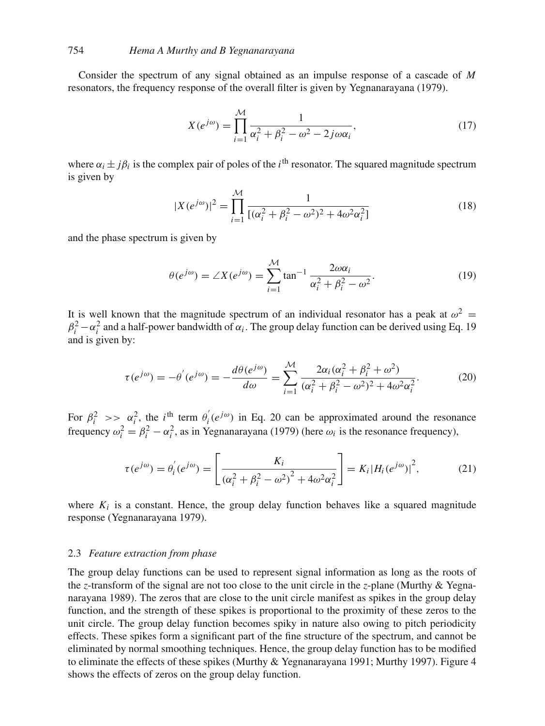Consider the spectrum of any signal obtained as an impulse response of a cascade of *M* resonators, the frequency response of the overall filter is given by Yegnanarayana (1979).

$$
X(e^{j\omega}) = \prod_{i=1}^{\mathcal{M}} \frac{1}{\alpha_i^2 + \beta_i^2 - \omega^2 - 2j\omega\alpha_i},\tag{17}
$$

where  $\alpha_i \pm j\beta_i$  is the complex pair of poles of the *i*<sup>th</sup> resonator. The squared magnitude spectrum is given by

$$
|X(e^{j\omega})|^2 = \prod_{i=1}^{\mathcal{M}} \frac{1}{[(\alpha_i^2 + \beta_i^2 - \omega^2)^2 + 4\omega^2 \alpha_i^2]}
$$
(18)

and the phase spectrum is given by

$$
\theta(e^{j\omega}) = \angle X(e^{j\omega}) = \sum_{i=1}^{\mathcal{M}} \tan^{-1} \frac{2\omega \alpha_i}{\alpha_i^2 + \beta_i^2 - \omega^2}.
$$
 (19)

It is well known that the magnitude spectrum of an individual resonator has a peak at  $\omega^2$  =  $\beta_i^2 - \alpha_i^2$  and a half-power bandwidth of  $\alpha_i$ . The group delay function can be derived using Eq. 19 and is given by:

$$
\tau(e^{j\omega}) = -\theta'(e^{j\omega}) = -\frac{d\theta(e^{j\omega})}{d\omega} = \sum_{i=1}^{\mathcal{M}} \frac{2\alpha_i(\alpha_i^2 + \beta_i^2 + \omega^2)}{(\alpha_i^2 + \beta_i^2 - \omega^2)^2 + 4\omega^2 \alpha_i^2}.
$$
 (20)

For  $\beta_i^2 \gg \alpha_i^2$ , the *i*<sup>th</sup> term  $\theta_i^2$  $\int_{i}^{j} (e^{j\omega})$  in Eq. 20 can be approximated around the resonance frequency  $\omega_i^2 = \beta_i^2 - \alpha_i^2$ , as in Yegnanarayana (1979) (here  $\omega_i$  is the resonance frequency),

$$
\tau(e^{j\omega}) = \theta_i'(e^{j\omega}) = \left[\frac{K_i}{(\alpha_i^2 + \beta_i^2 - \omega^2)^2 + 4\omega^2 \alpha_i^2}\right] = K_i |H_i(e^{j\omega})|^2,
$$
(21)

where  $K_i$  is a constant. Hence, the group delay function behaves like a squared magnitude response (Yegnanarayana 1979).

#### 2.3 *Feature extraction from phase*

The group delay functions can be used to represent signal information as long as the roots of the *z*-transform of the signal are not too close to the unit circle in the *z*-plane (Murthy & Yegnanarayana 1989). The zeros that are close to the unit circle manifest as spikes in the group delay function, and the strength of these spikes is proportional to the proximity of these zeros to the unit circle. The group delay function becomes spiky in nature also owing to pitch periodicity effects. These spikes form a significant part of the fine structure of the spectrum, and cannot be eliminated by normal smoothing techniques. Hence, the group delay function has to be modified to eliminate the effects of these spikes (Murthy & Yegnanarayana 1991; Murthy 1997). Figure 4 shows the effects of zeros on the group delay function.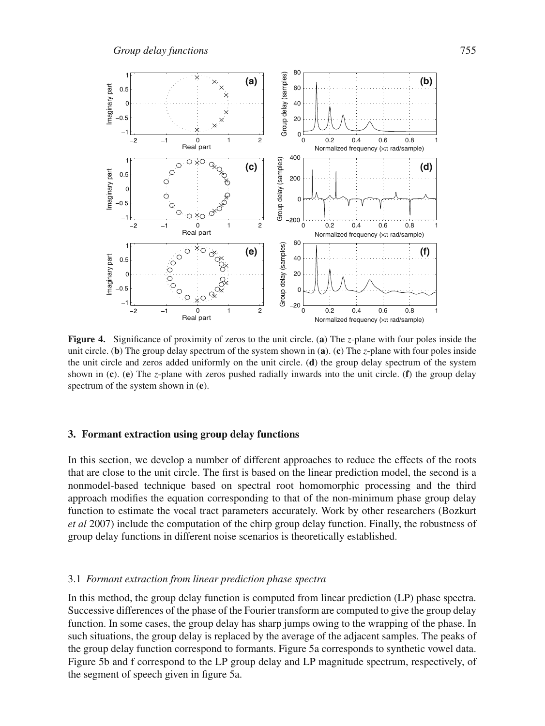

**Figure 4.** Significance of proximity of zeros to the unit circle. (**a**) The *z*-plane with four poles inside the unit circle. (**b**) The group delay spectrum of the system shown in (**a**). (**c**) The *z*-plane with four poles inside the unit circle and zeros added uniformly on the unit circle. (**d**) the group delay spectrum of the system shown in (**c**). (**e**) The *z*-plane with zeros pushed radially inwards into the unit circle. (**f**) the group delay spectrum of the system shown in (**e**).

#### **3. Formant extraction using group delay functions**

In this section, we develop a number of different approaches to reduce the effects of the roots that are close to the unit circle. The first is based on the linear prediction model, the second is a nonmodel-based technique based on spectral root homomorphic processing and the third approach modifies the equation corresponding to that of the non-minimum phase group delay function to estimate the vocal tract parameters accurately. Work by other researchers (Bozkurt *et al* 2007) include the computation of the chirp group delay function. Finally, the robustness of group delay functions in different noise scenarios is theoretically established.

#### 3.1 *Formant extraction from linear prediction phase spectra*

In this method, the group delay function is computed from linear prediction (LP) phase spectra. Successive differences of the phase of the Fourier transform are computed to give the group delay function. In some cases, the group delay has sharp jumps owing to the wrapping of the phase. In such situations, the group delay is replaced by the average of the adjacent samples. The peaks of the group delay function correspond to formants. Figure 5a corresponds to synthetic vowel data. Figure 5b and f correspond to the LP group delay and LP magnitude spectrum, respectively, of the segment of speech given in figure 5a.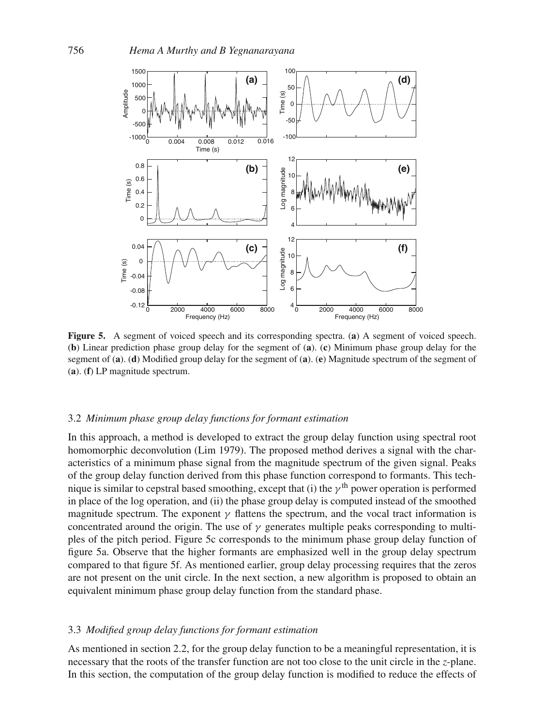

**Figure 5.** A segment of voiced speech and its corresponding spectra. (**a**) A segment of voiced speech. (**b**) Linear prediction phase group delay for the segment of (**a**). (**c**) Minimum phase group delay for the segment of (**a**). (**d**) Modified group delay for the segment of (**a**). (**e**) Magnitude spectrum of the segment of (**a**). (**f**) LP magnitude spectrum.

#### 3.2 *Minimum phase group delay functions for formant estimation*

In this approach, a method is developed to extract the group delay function using spectral root homomorphic deconvolution (Lim 1979). The proposed method derives a signal with the characteristics of a minimum phase signal from the magnitude spectrum of the given signal. Peaks of the group delay function derived from this phase function correspond to formants. This technique is similar to cepstral based smoothing, except that (i) the  $\gamma$ <sup>th</sup> power operation is performed in place of the log operation, and (ii) the phase group delay is computed instead of the smoothed magnitude spectrum. The exponent  $\gamma$  flattens the spectrum, and the vocal tract information is concentrated around the origin. The use of  $\gamma$  generates multiple peaks corresponding to multiples of the pitch period. Figure 5c corresponds to the minimum phase group delay function of figure 5a. Observe that the higher formants are emphasized well in the group delay spectrum compared to that figure 5f. As mentioned earlier, group delay processing requires that the zeros are not present on the unit circle. In the next section, a new algorithm is proposed to obtain an equivalent minimum phase group delay function from the standard phase.

#### 3.3 *Modified group delay functions for formant estimation*

As mentioned in section 2.2, for the group delay function to be a meaningful representation, it is necessary that the roots of the transfer function are not too close to the unit circle in the *z*-plane. In this section, the computation of the group delay function is modified to reduce the effects of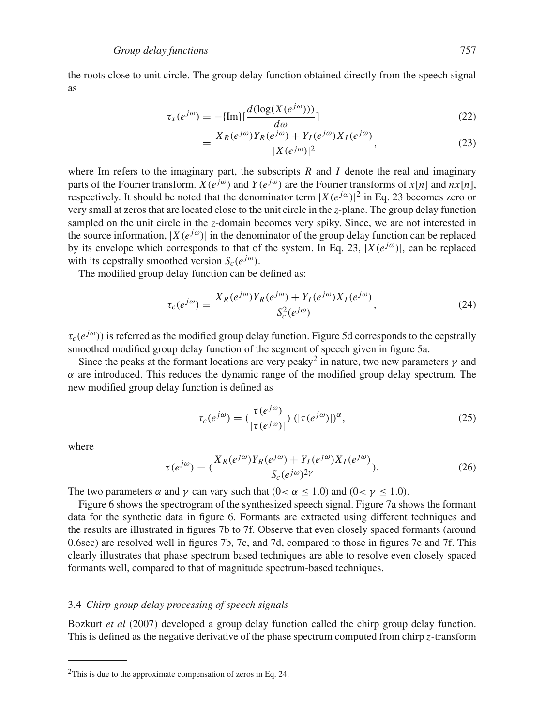the roots close to unit circle. The group delay function obtained directly from the speech signal as

$$
\tau_x(e^{j\omega}) = -\{\text{Im}\}\left[\frac{d(\log(X(e^{j\omega})))}{d\omega}\right]
$$
\n(22)

$$
= \frac{X_R(e^{j\omega})Y_R(e^{j\omega}) + Y_I(e^{j\omega})X_I(e^{j\omega})}{|X(e^{j\omega})|^2},
$$
\n(23)

where Im refers to the imaginary part, the subscripts  $R$  and  $I$  denote the real and imaginary parts of the Fourier transform.  $X(e^{j\omega})$  and  $Y(e^{j\omega})$  are the Fourier transforms of  $x[n]$  and  $nx[n]$ , respectively. It should be noted that the denominator term  $|X(e^{j\omega})|^2$  in Eq. 23 becomes zero or very small at zeros that are located close to the unit circle in the *z*-plane. The group delay function sampled on the unit circle in the *z*-domain becomes very spiky. Since, we are not interested in the source information,  $|X(e^{j\omega})|$  in the denominator of the group delay function can be replaced by its envelope which corresponds to that of the system. In Eq. 23,  $|X(e^{j\omega})|$ , can be replaced with its cepstrally smoothed version  $S_c(e^{j\omega})$ .

The modified group delay function can be defined as:

$$
\tau_c(e^{j\omega}) = \frac{X_R(e^{j\omega})Y_R(e^{j\omega}) + Y_I(e^{j\omega})X_I(e^{j\omega})}{S_c^2(e^{j\omega})},\tag{24}
$$

 $\tau_c(e^{j\omega})$ ) is referred as the modified group delay function. Figure 5d corresponds to the cepstrally smoothed modified group delay function of the segment of speech given in figure 5a.

Since the peaks at the formant locations are very peaky<sup>2</sup> in nature, two new parameters  $\gamma$  and  $\alpha$  are introduced. This reduces the dynamic range of the modified group delay spectrum. The new modified group delay function is defined as

$$
\tau_c(e^{j\omega}) = \left(\frac{\tau(e^{j\omega})}{|\tau(e^{j\omega})|}\right) \left(|\tau(e^{j\omega})|\right)^{\alpha},\tag{25}
$$

where

$$
\tau(e^{j\omega}) = \left(\frac{X_R(e^{j\omega})Y_R(e^{j\omega}) + Y_I(e^{j\omega})X_I(e^{j\omega})}{S_c(e^{j\omega})^{2\gamma}}\right). \tag{26}
$$

The two parameters  $\alpha$  and  $\gamma$  can vary such that  $(0 < \alpha \le 1.0)$  and  $(0 < \gamma \le 1.0)$ .

Figure 6 shows the spectrogram of the synthesized speech signal. Figure 7a shows the formant data for the synthetic data in figure 6. Formants are extracted using different techniques and the results are illustrated in figures 7b to 7f. Observe that even closely spaced formants (around 0.6sec) are resolved well in figures 7b, 7c, and 7d, compared to those in figures 7e and 7f. This clearly illustrates that phase spectrum based techniques are able to resolve even closely spaced formants well, compared to that of magnitude spectrum-based techniques.

#### 3.4 *Chirp group delay processing of speech signals*

Bozkurt *et al* (2007) developed a group delay function called the chirp group delay function. This is defined as the negative derivative of the phase spectrum computed from chirp *z*-transform

 $2$ This is due to the approximate compensation of zeros in Eq. 24.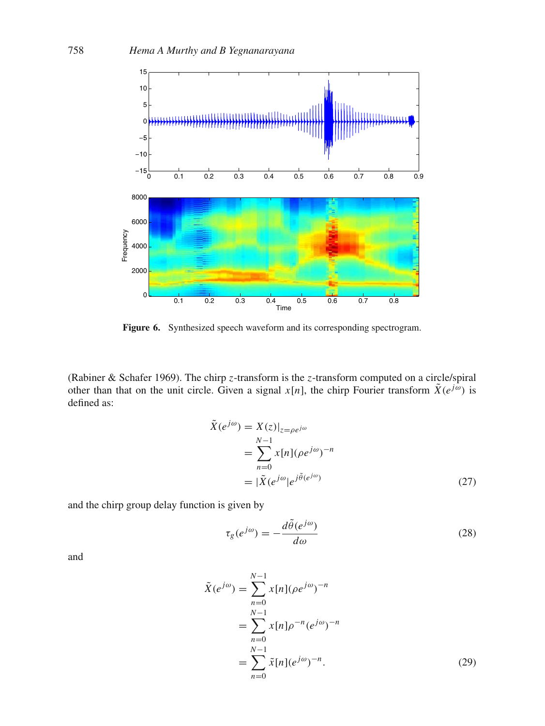

**Figure 6.** Synthesized speech waveform and its corresponding spectrogram.

(Rabiner & Schafer 1969). The chirp *z*-transform is the *z*-transform computed on a circle/spiral other than that on the unit circle. Given a signal  $x[n]$ , the chirp Fourier transform  $\tilde{X}(e^{j\omega})$  is defined as:

$$
\tilde{X}(e^{j\omega}) = X(z)|_{z=\rho e^{j\omega}}
$$
\n
$$
= \sum_{n=0}^{N-1} x[n](\rho e^{j\omega})^{-n}
$$
\n
$$
= |\tilde{X}(e^{j\omega})|e^{j\tilde{\theta}(e^{j\omega})}
$$
\n(27)

and the chirp group delay function is given by

$$
\tau_g(e^{j\omega}) = -\frac{d\tilde{\theta}(e^{j\omega})}{d\omega} \tag{28}
$$

and

$$
\tilde{X}(e^{j\omega}) = \sum_{n=0}^{N-1} x[n](\rho e^{j\omega})^{-n}
$$

$$
= \sum_{n=0}^{N-1} x[n]\rho^{-n}(e^{j\omega})^{-n}
$$

$$
= \sum_{n=0}^{N-1} \tilde{x}[n](e^{j\omega})^{-n}.
$$
(29)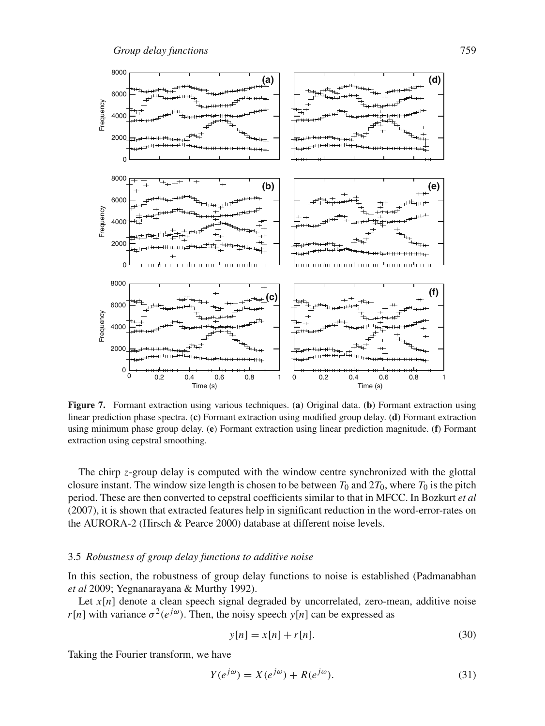

**Figure 7.** Formant extraction using various techniques. (**a**) Original data. (**b**) Formant extraction using linear prediction phase spectra. (**c**) Formant extraction using modified group delay. (**d**) Formant extraction using minimum phase group delay. (**e**) Formant extraction using linear prediction magnitude. (**f**) Formant extraction using cepstral smoothing.

The chirp *z*-group delay is computed with the window centre synchronized with the glottal closure instant. The window size length is chosen to be between  $T_0$  and  $2T_0$ , where  $T_0$  is the pitch period. These are then converted to cepstral coefficients similar to that in MFCC. In Bozkurt *et al* (2007), it is shown that extracted features help in significant reduction in the word-error-rates on the AURORA-2 (Hirsch & Pearce 2000) database at different noise levels.

#### 3.5 *Robustness of group delay functions to additive noise*

In this section, the robustness of group delay functions to noise is established (Padmanabhan *et al* 2009; Yegnanarayana & Murthy 1992).

Let  $x[n]$  denote a clean speech signal degraded by uncorrelated, zero-mean, additive noise *r*[*n*] with variance  $\sigma^2(e^{j\omega})$ . Then, the noisy speech *y*[*n*] can be expressed as

$$
y[n] = x[n] + r[n].\tag{30}
$$

Taking the Fourier transform, we have

$$
Y(e^{j\omega}) = X(e^{j\omega}) + R(e^{j\omega}).
$$
\n(31)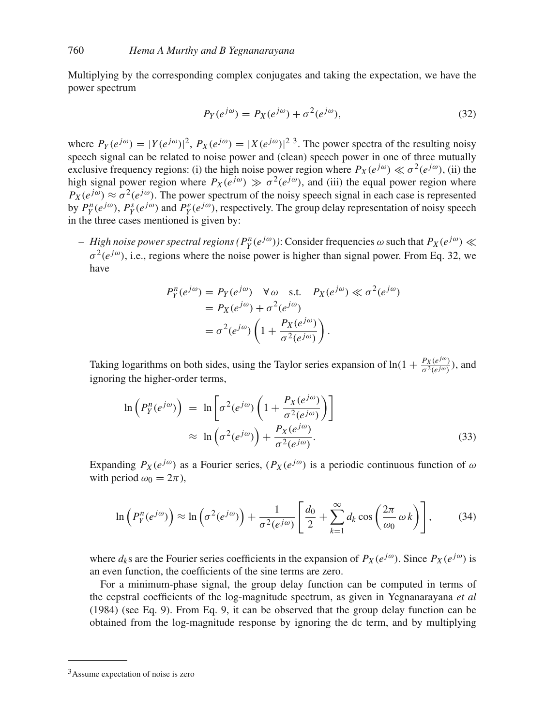Multiplying by the corresponding complex conjugates and taking the expectation, we have the power spectrum

$$
P_Y(e^{j\omega}) = P_X(e^{j\omega}) + \sigma^2(e^{j\omega}),
$$
\n(32)

where  $P_Y(e^{j\omega}) = |Y(e^{j\omega})|^2$ ,  $P_X(e^{j\omega}) = |X(e^{j\omega})|^2$ <sup>3</sup>. The power spectra of the resulting noisy speech signal can be related to noise power and (clean) speech power in one of three mutually exclusive frequency regions: (i) the high noise power region where  $P_X(e^{j\omega}) \ll \sigma^2(e^{j\omega})$ , (ii) the high signal power region where  $P_X(e^{j\omega}) \gg \sigma^2(e^{j\omega})$ , and (iii) the equal power region where  $P_X(e^{j\omega}) \approx \sigma^2(e^{j\omega})$ . The power spectrum of the noisy speech signal in each case is represented by  $P_Y^n(e^{j\omega})$ ,  $P_Y^s(e^{j\omega})$  and  $P_Y^e(e^{j\omega})$ , respectively. The group delay representation of noisy speech in the three cases mentioned is given by:

 $-$  *High noise power spectral regions (* $P_Y^n(e^{j\omega})$ *):* Consider frequencies  $\omega$  such that  $P_X(e^{j\omega}) \ll$ *The noise power spectral regions* (*T*<sub>*Y*</sub>(e<sup>2</sup>)). Consider requencies  $\omega$  such that  $T_X(e^z) \propto \sigma^2(e^{j\omega})$ , i.e., regions where the noise power is higher than signal power. From Eq. 32, we have

$$
P_Y^n(e^{j\omega}) = P_Y(e^{j\omega}) \quad \forall \omega \quad \text{s.t.} \quad P_X(e^{j\omega}) \ll \sigma^2(e^{j\omega})
$$
  
=  $P_X(e^{j\omega}) + \sigma^2(e^{j\omega})$   
=  $\sigma^2(e^{j\omega}) \left(1 + \frac{P_X(e^{j\omega})}{\sigma^2(e^{j\omega})}\right)$ .

Taking logarithms on both sides, using the Taylor series expansion of  $\ln(1 + \frac{P_X(e^{j\omega})}{\sigma^2(e^{j\omega})})$  $\frac{P\chi(e^{\sigma})}{\sigma^2(e^{j\omega})}$ ), and ignoring the higher-order terms,

$$
\ln\left(P_Y^n(e^{j\omega})\right) = \ln\left[\sigma^2(e^{j\omega})\left(1 + \frac{P_X(e^{j\omega})}{\sigma^2(e^{j\omega})}\right)\right]
$$

$$
\approx \ln\left(\sigma^2(e^{j\omega})\right) + \frac{P_X(e^{j\omega})}{\sigma^2(e^{j\omega})}.
$$
(33)

Expanding  $P_X(e^{j\omega})$  as a Fourier series,  $(P_X(e^{j\omega}))$  is a periodic continuous function of  $\omega$ with period  $\omega_0 = 2\pi$ ),

$$
\ln\left(P_Y^n(e^{j\omega})\right) \approx \ln\left(\sigma^2(e^{j\omega})\right) + \frac{1}{\sigma^2(e^{j\omega})} \left[\frac{d_0}{2} + \sum_{k=1}^{\infty} d_k \cos\left(\frac{2\pi}{\omega_0} \omega k\right)\right],\tag{34}
$$

where  $d_k$ s are the Fourier series coefficients in the expansion of  $P_X(e^{j\omega})$ . Since  $P_X(e^{j\omega})$  is an even function, the coefficients of the sine terms are zero.

For a minimum-phase signal, the group delay function can be computed in terms of the cepstral coefficients of the log-magnitude spectrum, as given in Yegnanarayana *et al* (1984) (see Eq. 9). From Eq. 9, it can be observed that the group delay function can be obtained from the log-magnitude response by ignoring the dc term, and by multiplying

<sup>3</sup>Assume expectation of noise is zero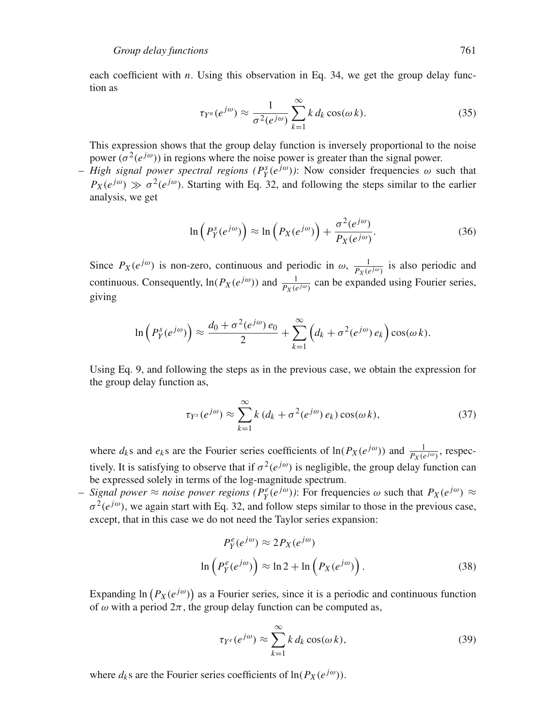each coefficient with *n*. Using this observation in Eq. 34, we get the group delay function as

$$
\tau_{Y^n}(e^{j\omega}) \approx \frac{1}{\sigma^2(e^{j\omega})} \sum_{k=1}^{\infty} k d_k \cos(\omega k). \tag{35}
$$

This expression shows that the group delay function is inversely proportional to the noise power  $(\sigma^2(e^{j\omega}))$  in regions where the noise power is greater than the signal power.

– *High signal power spectral regions*  $(P_Y^s(e^{j\omega}))$ : Now consider frequencies  $\omega$  such that  $P_X(e^{j\omega}) \gg \sigma^2(e^{j\omega})$ . Starting with Eq. 32, and following the steps similar to the earlier analysis, we get

$$
\ln\left(P_Y^s(e^{j\omega})\right) \approx \ln\left(P_X(e^{j\omega})\right) + \frac{\sigma^2(e^{j\omega})}{P_X(e^{j\omega})}.
$$
\n(36)

Since  $P_X(e^{j\omega})$  is non-zero, continuous and periodic in  $\omega$ ,  $\frac{1}{P_Y(e^{j\omega})}$  $\frac{1}{P_X(e^{j\omega})}$  is also periodic and continuous. Consequently,  $\ln(P_X(e^{j\omega}))$  and  $\frac{1}{P_X(e^{j\omega})}$  can be expanded using Fourier series, giving

$$
\ln\left(P_Y^s(e^{j\omega})\right) \approx \frac{d_0 + \sigma^2(e^{j\omega})e_0}{2} + \sum_{k=1}^{\infty} \left(d_k + \sigma^2(e^{j\omega})e_k\right)\cos(\omega k).
$$

Using Eq. 9, and following the steps as in the previous case, we obtain the expression for the group delay function as,

$$
\tau_{Y^s}(e^{j\omega}) \approx \sum_{k=1}^{\infty} k (d_k + \sigma^2(e^{j\omega}) e_k) \cos(\omega k), \qquad (37)
$$

where  $d_k$ s and  $e_k$ s are the Fourier series coefficients of  $\ln(P_X(e^{j\omega}))$  and  $\frac{1}{P_X(e^{j\omega})}$ , respectively. It is satisfying to observe that if  $\sigma^2(e^{j\omega})$  is negligible, the group delay function can be expressed solely in terms of the log-magnitude spectrum.

 $\sim$  *Signal power* ≈ *noise power regions* (*P*<sup>*e*</sup><sub>*Y*</sub>(*e*<sup>*jω*</sup>)): For frequencies ω such that *Px*(*e*<sup>*jω*</sup>) ≈  $\sigma^2(e^{j\omega})$ , we again start with Eq. 32, and follow steps similar to those in the previous case, except, that in this case we do not need the Taylor series expansion:

$$
P_Y^e(e^{j\omega}) \approx 2P_X(e^{j\omega})
$$
  

$$
\ln\left(P_Y^e(e^{j\omega})\right) \approx \ln 2 + \ln\left(P_X(e^{j\omega})\right).
$$
 (38)

Expanding  $\ln(P_X(e^{j\omega}))$  as a Fourier series, since it is a periodic and continuous function of  $\omega$  with a period  $2\pi$ , the group delay function can be computed as,

$$
\tau_{Y^e}(e^{j\omega}) \approx \sum_{k=1}^{\infty} k d_k \cos(\omega k), \qquad (39)
$$

where  $d_k$ s are the Fourier series coefficients of  $\ln(P_X(e^{j\omega}))$ .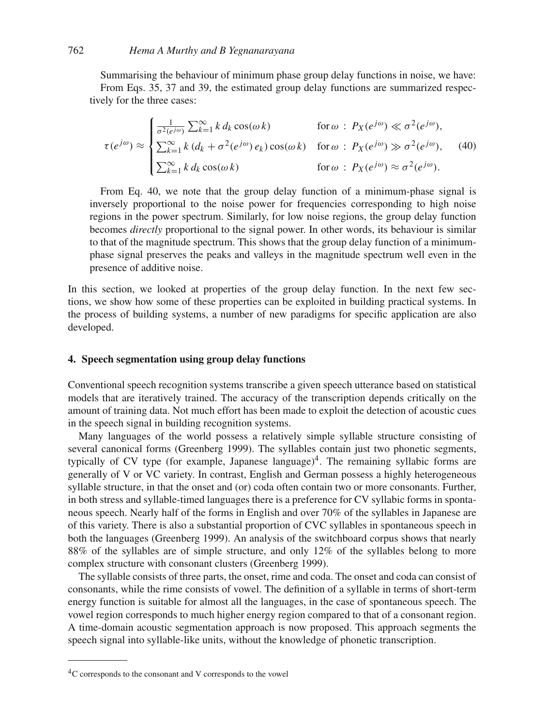Summarising the behaviour of minimum phase group delay functions in noise, we have: From Eqs. 35, 37 and 39, the estimated group delay functions are summarized respectively for the three cases:

$$
\tau(e^{j\omega}) \approx \begin{cases} \frac{1}{\sigma^2(e^{j\omega})} \sum_{k=1}^{\infty} k \, d_k \cos(\omega \, k) & \text{for } \omega \, : \, P_X(e^{j\omega}) \ll \sigma^2(e^{j\omega}),\\ \sum_{k=1}^{\infty} k \, (d_k + \sigma^2(e^{j\omega}) \, e_k) \cos(\omega \, k) & \text{for } \omega \, : \, P_X(e^{j\omega}) \gg \sigma^2(e^{j\omega}),\\ \sum_{k=1}^{\infty} k \, d_k \cos(\omega \, k) & \text{for } \omega \, : \, P_X(e^{j\omega}) \approx \sigma^2(e^{j\omega}). \end{cases} \tag{40}
$$

From Eq. 40, we note that the group delay function of a minimum-phase signal is inversely proportional to the noise power for frequencies corresponding to high noise regions in the power spectrum. Similarly, for low noise regions, the group delay function becomes *directly* proportional to the signal power. In other words, its behaviour is similar to that of the magnitude spectrum. This shows that the group delay function of a minimumphase signal preserves the peaks and valleys in the magnitude spectrum well even in the presence of additive noise.

In this section, we looked at properties of the group delay function. In the next few sections, we show how some of these properties can be exploited in building practical systems. In the process of building systems, a number of new paradigms for specific application are also developed.

#### **4. Speech segmentation using group delay functions**

Conventional speech recognition systems transcribe a given speech utterance based on statistical models that are iteratively trained. The accuracy of the transcription depends critically on the amount of training data. Not much effort has been made to exploit the detection of acoustic cues in the speech signal in building recognition systems.

Many languages of the world possess a relatively simple syllable structure consisting of several canonical forms (Greenberg 1999). The syllables contain just two phonetic segments, typically of CV type (for example, Japanese language)<sup>4</sup>. The remaining syllabic forms are generally of V or VC variety. In contrast, English and German possess a highly heterogeneous syllable structure, in that the onset and (or) coda often contain two or more consonants. Further, in both stress and syllable-timed languages there is a preference for CV syllabic forms in spontaneous speech. Nearly half of the forms in English and over 70% of the syllables in Japanese are of this variety. There is also a substantial proportion of CVC syllables in spontaneous speech in both the languages (Greenberg 1999). An analysis of the switchboard corpus shows that nearly 88% of the syllables are of simple structure, and only 12% of the syllables belong to more complex structure with consonant clusters (Greenberg 1999).

The syllable consists of three parts, the onset, rime and coda. The onset and coda can consist of consonants, while the rime consists of vowel. The definition of a syllable in terms of short-term energy function is suitable for almost all the languages, in the case of spontaneous speech. The vowel region corresponds to much higher energy region compared to that of a consonant region. A time-domain acoustic segmentation approach is now proposed. This approach segments the speech signal into syllable-like units, without the knowledge of phonetic transcription.

<sup>&</sup>lt;sup>4</sup>C corresponds to the consonant and V corresponds to the vowel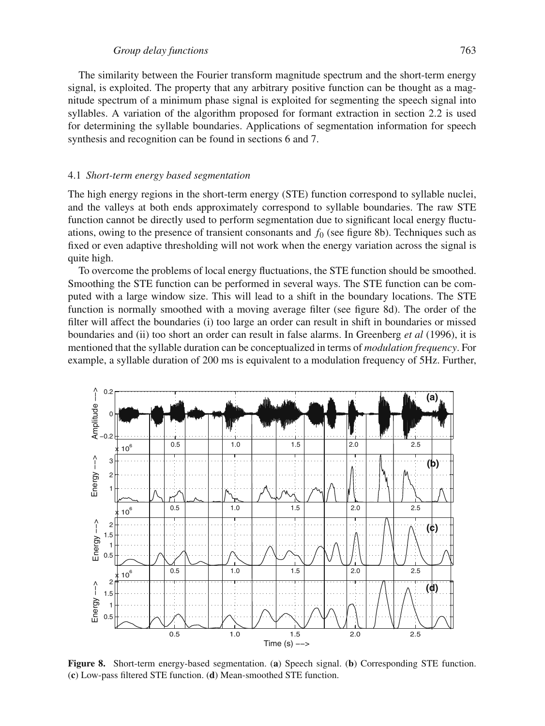#### *Group delay functions* 763

The similarity between the Fourier transform magnitude spectrum and the short-term energy signal, is exploited. The property that any arbitrary positive function can be thought as a magnitude spectrum of a minimum phase signal is exploited for segmenting the speech signal into syllables. A variation of the algorithm proposed for formant extraction in section 2.2 is used for determining the syllable boundaries. Applications of segmentation information for speech synthesis and recognition can be found in sections 6 and 7.

#### 4.1 *Short-term energy based segmentation*

The high energy regions in the short-term energy (STE) function correspond to syllable nuclei, and the valleys at both ends approximately correspond to syllable boundaries. The raw STE function cannot be directly used to perform segmentation due to significant local energy fluctuations, owing to the presence of transient consonants and  $f_0$  (see figure 8b). Techniques such as fixed or even adaptive thresholding will not work when the energy variation across the signal is quite high.

To overcome the problems of local energy fluctuations, the STE function should be smoothed. Smoothing the STE function can be performed in several ways. The STE function can be computed with a large window size. This will lead to a shift in the boundary locations. The STE function is normally smoothed with a moving average filter (see figure 8d). The order of the filter will affect the boundaries (i) too large an order can result in shift in boundaries or missed boundaries and (ii) too short an order can result in false alarms. In Greenberg *et al* (1996), it is mentioned that the syllable duration can be conceptualized in terms of *modulation frequency*. For example, a syllable duration of 200 ms is equivalent to a modulation frequency of 5Hz. Further,



**Figure 8.** Short-term energy-based segmentation. (**a**) Speech signal. (**b**) Corresponding STE function. (**c**) Low-pass filtered STE function. (**d**) Mean-smoothed STE function.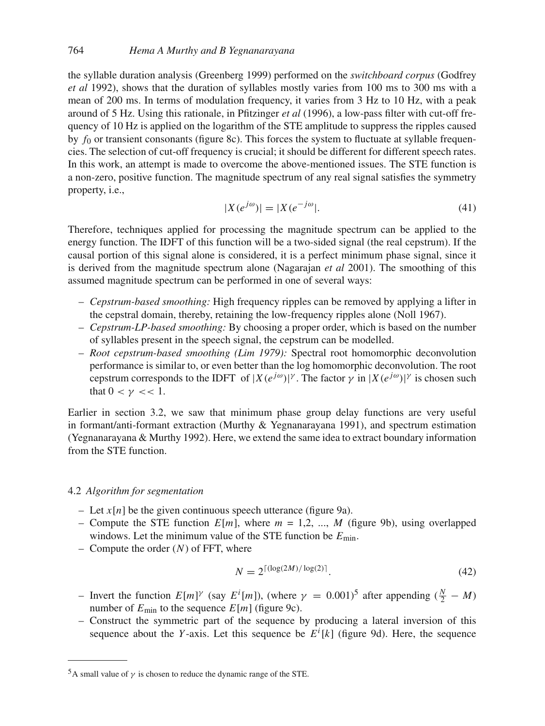the syllable duration analysis (Greenberg 1999) performed on the *switchboard corpus* (Godfrey *et al* 1992), shows that the duration of syllables mostly varies from 100 ms to 300 ms with a mean of 200 ms. In terms of modulation frequency, it varies from 3 Hz to 10 Hz, with a peak around of 5 Hz. Using this rationale, in Pfitzinger *et al* (1996), a low-pass filter with cut-off frequency of 10 Hz is applied on the logarithm of the STE amplitude to suppress the ripples caused by  $f_0$  or transient consonants (figure 8c). This forces the system to fluctuate at syllable frequencies. The selection of cut-off frequency is crucial; it should be different for different speech rates. In this work, an attempt is made to overcome the above-mentioned issues. The STE function is a non-zero, positive function. The magnitude spectrum of any real signal satisfies the symmetry property, i.e.,

$$
|X(e^{j\omega})| = |X(e^{-j\omega}).
$$
\n(41)

Therefore, techniques applied for processing the magnitude spectrum can be applied to the energy function. The IDFT of this function will be a two-sided signal (the real cepstrum). If the causal portion of this signal alone is considered, it is a perfect minimum phase signal, since it is derived from the magnitude spectrum alone (Nagarajan *et al* 2001). The smoothing of this assumed magnitude spectrum can be performed in one of several ways:

- *Cepstrum-based smoothing:* High frequency ripples can be removed by applying a lifter in the cepstral domain, thereby, retaining the low-frequency ripples alone (Noll 1967).
- *Cepstrum-LP-based smoothing:* By choosing a proper order, which is based on the number of syllables present in the speech signal, the cepstrum can be modelled.
- *Root cepstrum-based smoothing (Lim 1979):* Spectral root homomorphic deconvolution performance is similar to, or even better than the log homomorphic deconvolution. The root cepstrum corresponds to the IDFT of  $|X(e^{j\omega})|^{\gamma}$ . The factor  $\gamma$  in  $|X(e^{j\omega})|^{\gamma}$  is chosen such that  $0 < \gamma \ll 1$ .

Earlier in section 3.2, we saw that minimum phase group delay functions are very useful in formant/anti-formant extraction (Murthy & Yegnanarayana 1991), and spectrum estimation (Yegnanarayana & Murthy 1992). Here, we extend the same idea to extract boundary information from the STE function.

#### 4.2 *Algorithm for segmentation*

- Let  $x[n]$  be the given continuous speech utterance (figure 9a).
- Compute the STE function  $E[m]$ , where  $m = 1,2, ..., M$  (figure 9b), using overlapped windows. Let the minimum value of the STE function be *E*min.
- Compute the order (*N*) of FFT, where

$$
N = 2^{\lceil (\log(2M)/\log(2)) \rceil}.
$$
 (42)

- Invert the function  $E[m]$ <sup>*y*</sup> (say  $E^{i}[m]$ ), (where  $\gamma = 0.001$ )<sup>5</sup> after appending ( $\frac{N}{2} M$ ) number of  $E_{\text{min}}$  to the sequence  $E[m]$  (figure 9c).
- Construct the symmetric part of the sequence by producing a lateral inversion of this sequence about the *Y*-axis. Let this sequence be  $E^{i}[k]$  (figure 9d). Here, the sequence

<sup>&</sup>lt;sup>5</sup>A small value of  $\gamma$  is chosen to reduce the dynamic range of the STE.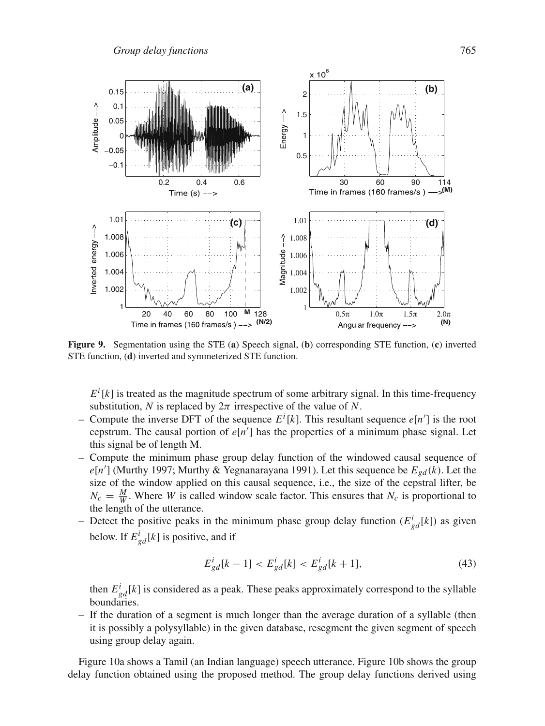

**Figure 9.** Segmentation using the STE (**a**) Speech signal, (**b**) corresponding STE function, (**c**) inverted STE function, (**d**) inverted and symmeterized STE function.

 $E^i[k]$  is treated as the magnitude spectrum of some arbitrary signal. In this time-frequency substitution, *N* is replaced by  $2\pi$  irrespective of the value of *N*.

- Compute the inverse DFT of the sequence  $E^{i}[k]$ . This resultant sequence  $e[n']$  is the root cepstrum. The causal portion of  $e[n']$  has the properties of a minimum phase signal. Let this signal be of length M.
- Compute the minimum phase group delay function of the windowed causal sequence of  $e[n']$  (Murthy 1997; Murthy & Yegnanarayana 1991). Let this sequence be  $E_{gd}(k)$ . Let the size of the window applied on this causal sequence, i.e., the size of the cepstral lifter, be  $N_c = \frac{M}{W}$ . Where *W* is called window scale factor. This ensures that  $N_c$  is proportional to the length of the utterance.
- Detect the positive peaks in the minimum phase group delay function  $(E_{gd}^i[k])$  as given below. If  $E_{gd}^i[k]$  is positive, and if

$$
E_{gd}^i[k-1] < E_{gd}^i[k] < E_{gd}^i[k+1],\tag{43}
$$

then  $E_{gd}^{i}[k]$  is considered as a peak. These peaks approximately correspond to the syllable boundaries.

– If the duration of a segment is much longer than the average duration of a syllable (then it is possibly a polysyllable) in the given database, resegment the given segment of speech using group delay again.

Figure 10a shows a Tamil (an Indian language) speech utterance. Figure 10b shows the group delay function obtained using the proposed method. The group delay functions derived using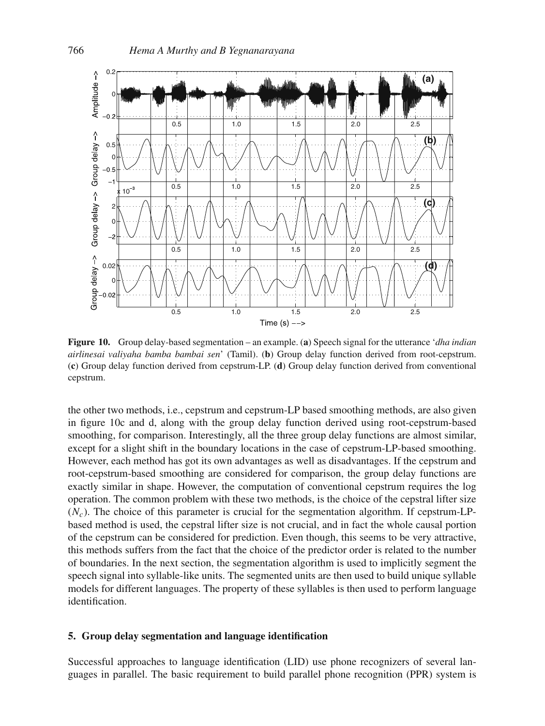

**Figure 10.** Group delay-based segmentation – an example. (**a**) Speech signal for the utterance '*dha indian airlinesai valiyaha bamba bambai sen*' (Tamil). (**b**) Group delay function derived from root-cepstrum. (**c**) Group delay function derived from cepstrum-LP. (**d**) Group delay function derived from conventional cepstrum.

the other two methods, i.e., cepstrum and cepstrum-LP based smoothing methods, are also given in figure 10c and d, along with the group delay function derived using root-cepstrum-based smoothing, for comparison. Interestingly, all the three group delay functions are almost similar, except for a slight shift in the boundary locations in the case of cepstrum-LP-based smoothing. However, each method has got its own advantages as well as disadvantages. If the cepstrum and root-cepstrum-based smoothing are considered for comparison, the group delay functions are exactly similar in shape. However, the computation of conventional cepstrum requires the log operation. The common problem with these two methods, is the choice of the cepstral lifter size  $(N<sub>c</sub>)$ . The choice of this parameter is crucial for the segmentation algorithm. If cepstrum-LPbased method is used, the cepstral lifter size is not crucial, and in fact the whole causal portion of the cepstrum can be considered for prediction. Even though, this seems to be very attractive, this methods suffers from the fact that the choice of the predictor order is related to the number of boundaries. In the next section, the segmentation algorithm is used to implicitly segment the speech signal into syllable-like units. The segmented units are then used to build unique syllable models for different languages. The property of these syllables is then used to perform language identification.

#### **5. Group delay segmentation and language identification**

Successful approaches to language identification (LID) use phone recognizers of several languages in parallel. The basic requirement to build parallel phone recognition (PPR) system is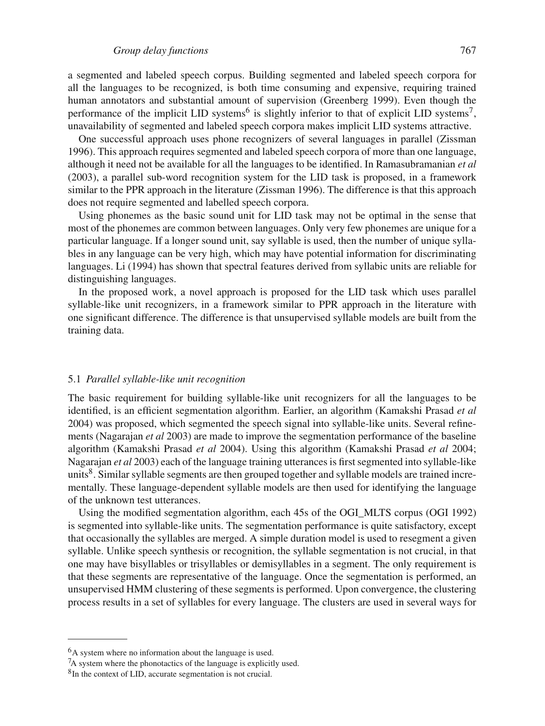a segmented and labeled speech corpus. Building segmented and labeled speech corpora for all the languages to be recognized, is both time consuming and expensive, requiring trained human annotators and substantial amount of supervision (Greenberg 1999). Even though the performance of the implicit LID systems<sup>6</sup> is slightly inferior to that of explicit LID systems<sup>7</sup>, unavailability of segmented and labeled speech corpora makes implicit LID systems attractive.

One successful approach uses phone recognizers of several languages in parallel (Zissman 1996). This approach requires segmented and labeled speech corpora of more than one language, although it need not be available for all the languages to be identified. In Ramasubramanian *et al* (2003), a parallel sub-word recognition system for the LID task is proposed, in a framework similar to the PPR approach in the literature (Zissman 1996). The difference is that this approach does not require segmented and labelled speech corpora.

Using phonemes as the basic sound unit for LID task may not be optimal in the sense that most of the phonemes are common between languages. Only very few phonemes are unique for a particular language. If a longer sound unit, say syllable is used, then the number of unique syllables in any language can be very high, which may have potential information for discriminating languages. Li (1994) has shown that spectral features derived from syllabic units are reliable for distinguishing languages.

In the proposed work, a novel approach is proposed for the LID task which uses parallel syllable-like unit recognizers, in a framework similar to PPR approach in the literature with one significant difference. The difference is that unsupervised syllable models are built from the training data.

#### 5.1 *Parallel syllable-like unit recognition*

The basic requirement for building syllable-like unit recognizers for all the languages to be identified, is an efficient segmentation algorithm. Earlier, an algorithm (Kamakshi Prasad *et al* 2004) was proposed, which segmented the speech signal into syllable-like units. Several refinements (Nagarajan *et al* 2003) are made to improve the segmentation performance of the baseline algorithm (Kamakshi Prasad *et al* 2004). Using this algorithm (Kamakshi Prasad *et al* 2004; Nagarajan *et al* 2003) each of the language training utterances is first segmented into syllable-like units<sup>8</sup>. Similar syllable segments are then grouped together and syllable models are trained incrementally. These language-dependent syllable models are then used for identifying the language of the unknown test utterances.

Using the modified segmentation algorithm, each 45s of the OGI\_MLTS corpus (OGI 1992) is segmented into syllable-like units. The segmentation performance is quite satisfactory, except that occasionally the syllables are merged. A simple duration model is used to resegment a given syllable. Unlike speech synthesis or recognition, the syllable segmentation is not crucial, in that one may have bisyllables or trisyllables or demisyllables in a segment. The only requirement is that these segments are representative of the language. Once the segmentation is performed, an unsupervised HMM clustering of these segments is performed. Upon convergence, the clustering process results in a set of syllables for every language. The clusters are used in several ways for

 $6A$  system where no information about the language is used.

<sup>7</sup>A system where the phonotactics of the language is explicitly used.

<sup>&</sup>lt;sup>8</sup>In the context of LID, accurate segmentation is not crucial.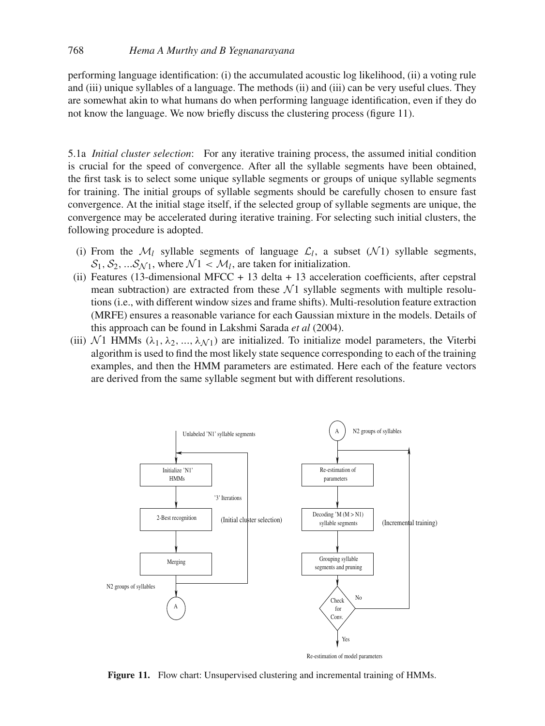performing language identification: (i) the accumulated acoustic log likelihood, (ii) a voting rule and (iii) unique syllables of a language. The methods (ii) and (iii) can be very useful clues. They are somewhat akin to what humans do when performing language identification, even if they do not know the language. We now briefly discuss the clustering process (figure 11).

5.1a *Initial cluster selection*: For any iterative training process, the assumed initial condition is crucial for the speed of convergence. After all the syllable segments have been obtained, the first task is to select some unique syllable segments or groups of unique syllable segments for training. The initial groups of syllable segments should be carefully chosen to ensure fast convergence. At the initial stage itself, if the selected group of syllable segments are unique, the convergence may be accelerated during iterative training. For selecting such initial clusters, the following procedure is adopted.

- (i) From the  $\mathcal{M}_l$  syllable segments of language  $\mathcal{L}_l$ , a subset  $(\mathcal{N}_l)$  syllable segments,  $S_1, S_2, ... S_{N1}$ , where  $N1 < M_l$ , are taken for initialization.
- (ii) Features (13-dimensional MFCC + 13 delta + 13 acceleration coefficients, after cepstral mean subtraction) are extracted from these  $\mathcal{N}$ 1 syllable segments with multiple resolutions (i.e., with different window sizes and frame shifts). Multi-resolution feature extraction (MRFE) ensures a reasonable variance for each Gaussian mixture in the models. Details of this approach can be found in Lakshmi Sarada *et al* (2004).
- (iii)  $\mathcal{N}$ 1 HMMs ( $\lambda_1, \lambda_2, ..., \lambda_{\mathcal{N}}$ ) are initialized. To initialize model parameters, the Viterbi algorithm is used to find the most likely state sequence corresponding to each of the training examples, and then the HMM parameters are estimated. Here each of the feature vectors are derived from the same syllable segment but with different resolutions.



**Figure 11.** Flow chart: Unsupervised clustering and incremental training of HMMs.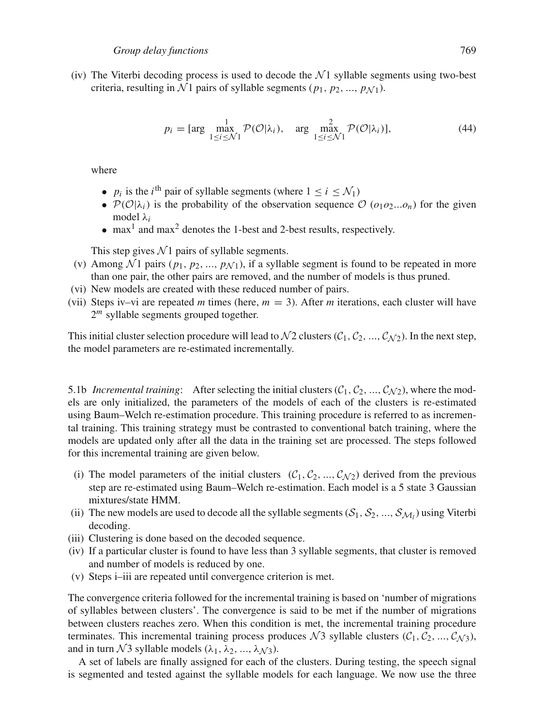(iv) The Viterbi decoding process is used to decode the  $N1$  syllable segments using two-best criteria, resulting in  $\mathcal{N}$ 1 pairs of syllable segments ( $p_1, p_2, ..., p_{\mathcal{N}1}$ ).

$$
p_i = \left[\arg\max_{1 \le i \le \mathcal{N}1} \mathcal{P}(\mathcal{O}|\lambda_i), \arg\max_{1 \le i \le \mathcal{N}1} \mathcal{P}(\mathcal{O}|\lambda_i)\right],\tag{44}
$$

where

- *p<sub>i</sub>* is the *i*<sup>th</sup> pair of syllable segments (where  $1 \le i \le \mathcal{N}_1$ )
- $\mathcal{P}(\mathcal{O}|\lambda_i)$  is the probability of the observation sequence  $\mathcal{O}(\mathfrak{o}_1 \mathfrak{o}_2 ... \mathfrak{o}_n)$  for the given model λ*<sup>i</sup>*
- max<sup>1</sup> and max<sup>2</sup> denotes the 1-best and 2-best results, respectively.

This step gives  $N_1$  pairs of syllable segments.

- (v) Among  $\mathcal{N}$ 1 pairs ( $p_1, p_2, ..., p_{\mathcal{N}}$ ), if a syllable segment is found to be repeated in more than one pair, the other pairs are removed, and the number of models is thus pruned.
- (vi) New models are created with these reduced number of pairs.
- (vii) Steps iv–vi are repeated *m* times (here,  $m = 3$ ). After *m* iterations, each cluster will have 2 *<sup>m</sup>* syllable segments grouped together.

This initial cluster selection procedure will lead to  $\mathcal{N}$  2 clusters ( $\mathcal{C}_1, \mathcal{C}_2, ..., \mathcal{C}_{\mathcal{N}2}$ ). In the next step, the model parameters are re-estimated incrementally.

5.1b *Incremental training*: After selecting the initial clusters  $(C_1, C_2, ..., C_{N2})$ , where the models are only initialized, the parameters of the models of each of the clusters is re-estimated using Baum–Welch re-estimation procedure. This training procedure is referred to as incremental training. This training strategy must be contrasted to conventional batch training, where the models are updated only after all the data in the training set are processed. The steps followed for this incremental training are given below.

- (i) The model parameters of the initial clusters  $(C_1, C_2, ..., C_{N2})$  derived from the previous step are re-estimated using Baum–Welch re-estimation. Each model is a 5 state 3 Gaussian mixtures/state HMM.
- (ii) The new models are used to decode all the syllable segments  $(S_1, S_2, ..., S_{M_l})$  using Viterbi decoding.
- (iii) Clustering is done based on the decoded sequence.
- (iv) If a particular cluster is found to have less than 3 syllable segments, that cluster is removed and number of models is reduced by one.
- (v) Steps i–iii are repeated until convergence criterion is met.

The convergence criteria followed for the incremental training is based on 'number of migrations of syllables between clusters'. The convergence is said to be met if the number of migrations between clusters reaches zero. When this condition is met, the incremental training procedure terminates. This incremental training process produces  $\mathcal{N}3$  syllable clusters ( $\mathcal{C}_1, \mathcal{C}_2, ..., \mathcal{C}_{\mathcal{N}3}$ ), and in turn  $\mathcal{N}$ 3 syllable models ( $\lambda_1, \lambda_2, ..., \lambda_{\mathcal{N}3}$ ).

A set of labels are finally assigned for each of the clusters. During testing, the speech signal is segmented and tested against the syllable models for each language. We now use the three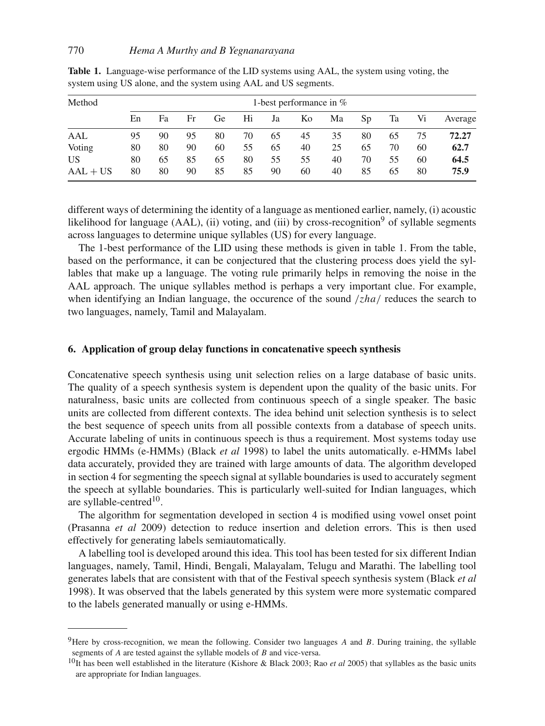| Method     | 1-best performance in $%$ |    |    |    |    |    |    |    |    |    |    |         |
|------------|---------------------------|----|----|----|----|----|----|----|----|----|----|---------|
|            | En                        | Fa | Fr | Ge | Hi | Ja | Ko | Ma | Sp | Ta | Vi | Average |
| AAL        | 95                        | 90 | 95 | 80 | 70 | 65 | 45 | 35 | 80 | 65 | 75 | 72.27   |
| Voting     | 80                        | 80 | 90 | 60 | 55 | 65 | 40 | 25 | 65 | 70 | 60 | 62.7    |
| US         | 80                        | 65 | 85 | 65 | 80 | 55 | 55 | 40 | 70 | 55 | 60 | 64.5    |
| $AAL + US$ | 80                        | 80 | 90 | 85 | 85 | 90 | 60 | 40 | 85 | 65 | 80 | 75.9    |

**Table 1.** Language-wise performance of the LID systems using AAL, the system using voting, the system using US alone, and the system using AAL and US segments.

different ways of determining the identity of a language as mentioned earlier, namely, (i) acoustic likelihood for language  $(AAL)$ , (ii) voting, and (iii) by cross-recognition<sup>9</sup> of syllable segments across languages to determine unique syllables (US) for every language.

The 1-best performance of the LID using these methods is given in table 1. From the table, based on the performance, it can be conjectured that the clustering process does yield the syllables that make up a language. The voting rule primarily helps in removing the noise in the AAL approach. The unique syllables method is perhaps a very important clue. For example, when identifying an Indian language, the occurence of the sound /*zha*/ reduces the search to two languages, namely, Tamil and Malayalam.

#### **6. Application of group delay functions in concatenative speech synthesis**

Concatenative speech synthesis using unit selection relies on a large database of basic units. The quality of a speech synthesis system is dependent upon the quality of the basic units. For naturalness, basic units are collected from continuous speech of a single speaker. The basic units are collected from different contexts. The idea behind unit selection synthesis is to select the best sequence of speech units from all possible contexts from a database of speech units. Accurate labeling of units in continuous speech is thus a requirement. Most systems today use ergodic HMMs (e-HMMs) (Black *et al* 1998) to label the units automatically. e-HMMs label data accurately, provided they are trained with large amounts of data. The algorithm developed in section 4 for segmenting the speech signal at syllable boundaries is used to accurately segment the speech at syllable boundaries. This is particularly well-suited for Indian languages, which are syllable-centred<sup>10</sup>.

The algorithm for segmentation developed in section 4 is modified using vowel onset point (Prasanna *et al* 2009) detection to reduce insertion and deletion errors. This is then used effectively for generating labels semiautomatically.

A labelling tool is developed around this idea. This tool has been tested for six different Indian languages, namely, Tamil, Hindi, Bengali, Malayalam, Telugu and Marathi. The labelling tool generates labels that are consistent with that of the Festival speech synthesis system (Black *et al* 1998). It was observed that the labels generated by this system were more systematic compared to the labels generated manually or using e-HMMs.

<sup>9</sup>Here by cross-recognition, we mean the following. Consider two languages *A* and *B*. During training, the syllable segments of *A* are tested against the syllable models of *B* and vice-versa.

<sup>10</sup>It has been well established in the literature (Kishore & Black 2003; Rao *et al* 2005) that syllables as the basic units are appropriate for Indian languages.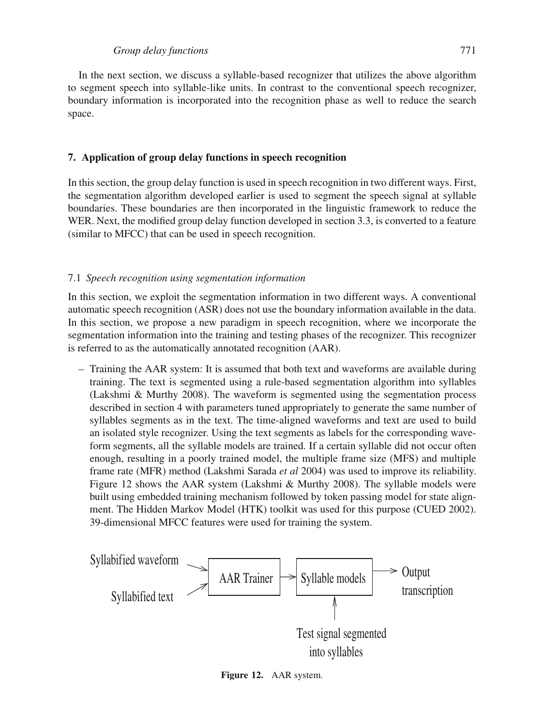In the next section, we discuss a syllable-based recognizer that utilizes the above algorithm to segment speech into syllable-like units. In contrast to the conventional speech recognizer, boundary information is incorporated into the recognition phase as well to reduce the search space.

#### **7. Application of group delay functions in speech recognition**

In this section, the group delay function is used in speech recognition in two different ways. First, the segmentation algorithm developed earlier is used to segment the speech signal at syllable boundaries. These boundaries are then incorporated in the linguistic framework to reduce the WER. Next, the modified group delay function developed in section 3.3, is converted to a feature (similar to MFCC) that can be used in speech recognition.

#### 7.1 *Speech recognition using segmentation information*

In this section, we exploit the segmentation information in two different ways. A conventional automatic speech recognition (ASR) does not use the boundary information available in the data. In this section, we propose a new paradigm in speech recognition, where we incorporate the segmentation information into the training and testing phases of the recognizer. This recognizer is referred to as the automatically annotated recognition (AAR).

– Training the AAR system: It is assumed that both text and waveforms are available during training. The text is segmented using a rule-based segmentation algorithm into syllables (Lakshmi & Murthy 2008). The waveform is segmented using the segmentation process described in section 4 with parameters tuned appropriately to generate the same number of syllables segments as in the text. The time-aligned waveforms and text are used to build an isolated style recognizer. Using the text segments as labels for the corresponding waveform segments, all the syllable models are trained. If a certain syllable did not occur often enough, resulting in a poorly trained model, the multiple frame size (MFS) and multiple frame rate (MFR) method (Lakshmi Sarada *et al* 2004) was used to improve its reliability. Figure 12 shows the AAR system (Lakshmi & Murthy 2008). The syllable models were built using embedded training mechanism followed by token passing model for state alignment. The Hidden Markov Model (HTK) toolkit was used for this purpose (CUED 2002). 39-dimensional MFCC features were used for training the system.



**Figure 12.** AAR system.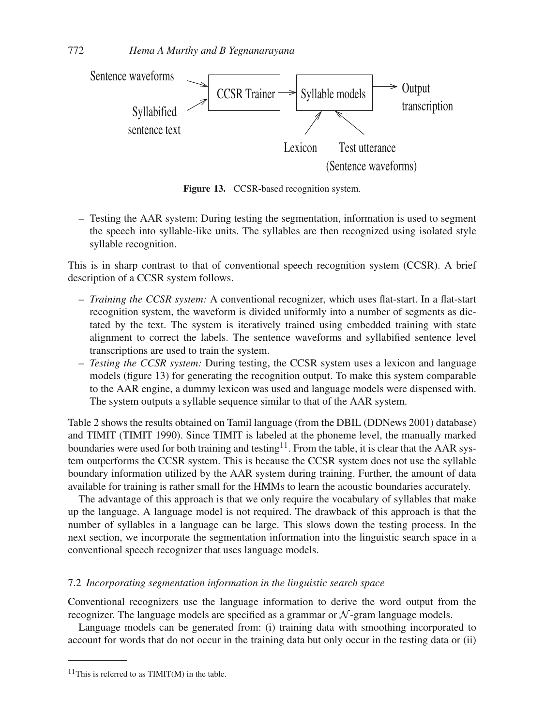

**Figure 13.** CCSR-based recognition system.

– Testing the AAR system: During testing the segmentation, information is used to segment the speech into syllable-like units. The syllables are then recognized using isolated style syllable recognition.

This is in sharp contrast to that of conventional speech recognition system (CCSR). A brief description of a CCSR system follows.

- *Training the CCSR system:* A conventional recognizer, which uses flat-start. In a flat-start recognition system, the waveform is divided uniformly into a number of segments as dictated by the text. The system is iteratively trained using embedded training with state alignment to correct the labels. The sentence waveforms and syllabified sentence level transcriptions are used to train the system.
- *Testing the CCSR system:* During testing, the CCSR system uses a lexicon and language models (figure 13) for generating the recognition output. To make this system comparable to the AAR engine, a dummy lexicon was used and language models were dispensed with. The system outputs a syllable sequence similar to that of the AAR system.

Table 2 shows the results obtained on Tamil language (from the DBIL (DDNews 2001) database) and TIMIT (TIMIT 1990). Since TIMIT is labeled at the phoneme level, the manually marked boundaries were used for both training and testing<sup>11</sup>. From the table, it is clear that the AAR system outperforms the CCSR system. This is because the CCSR system does not use the syllable boundary information utilized by the AAR system during training. Further, the amount of data available for training is rather small for the HMMs to learn the acoustic boundaries accurately.

The advantage of this approach is that we only require the vocabulary of syllables that make up the language. A language model is not required. The drawback of this approach is that the number of syllables in a language can be large. This slows down the testing process. In the next section, we incorporate the segmentation information into the linguistic search space in a conventional speech recognizer that uses language models.

#### 7.2 *Incorporating segmentation information in the linguistic search space*

Conventional recognizers use the language information to derive the word output from the recognizer. The language models are specified as a grammar or  $N$ -gram language models.

Language models can be generated from: (i) training data with smoothing incorporated to account for words that do not occur in the training data but only occur in the testing data or (ii)

 $11$ This is referred to as TIMIT(M) in the table.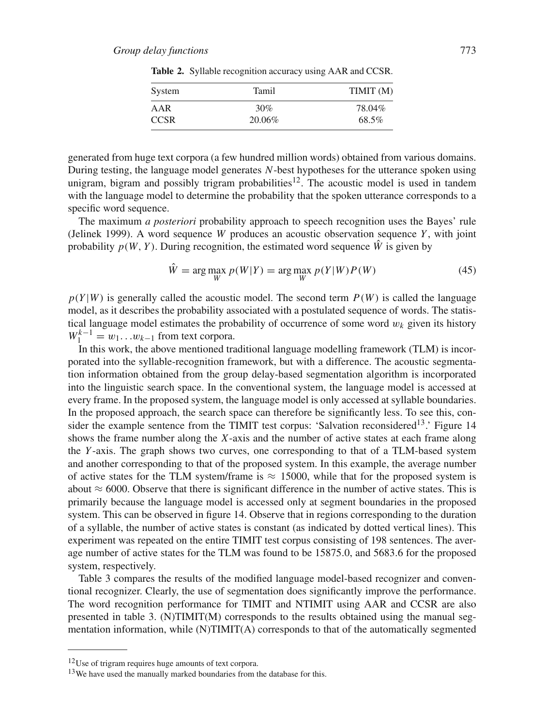| System      | Tamil  | TIMIT (M) |
|-------------|--------|-----------|
| AAR         | 30%    | 78.04%    |
| <b>CCSR</b> | 20.06% | 68.5%     |

**Table 2.** Syllable recognition accuracy using AAR and CCSR.

generated from huge text corpora (a few hundred million words) obtained from various domains. During testing, the language model generates *N*-best hypotheses for the utterance spoken using unigram, bigram and possibly trigram probabilities<sup>12</sup>. The acoustic model is used in tandem with the language model to determine the probability that the spoken utterance corresponds to a specific word sequence.

The maximum *a posteriori* probability approach to speech recognition uses the Bayes' rule (Jelinek 1999). A word sequence *W* produces an acoustic observation sequence *Y* , with joint probability  $p(W, Y)$ . During recognition, the estimated word sequence  $\hat{W}$  is given by

$$
\hat{W} = \underset{W}{\text{arg max}} p(W|Y) = \underset{W}{\text{arg max}} p(Y|W)P(W) \tag{45}
$$

 $p(Y|W)$  is generally called the acoustic model. The second term  $P(W)$  is called the language model, as it describes the probability associated with a postulated sequence of words. The statistical language model estimates the probability of occurrence of some word  $w_k$  given its history  $W_1^{k-1} = w_1 \dots w_{k-1}$  from text corpora.

In this work, the above mentioned traditional language modelling framework (TLM) is incorporated into the syllable-recognition framework, but with a difference. The acoustic segmentation information obtained from the group delay-based segmentation algorithm is incorporated into the linguistic search space. In the conventional system, the language model is accessed at every frame. In the proposed system, the language model is only accessed at syllable boundaries. In the proposed approach, the search space can therefore be significantly less. To see this, consider the example sentence from the TIMIT test corpus: 'Salvation reconsidered<sup>13</sup>.' Figure 14 shows the frame number along the *X*-axis and the number of active states at each frame along the *Y* -axis. The graph shows two curves, one corresponding to that of a TLM-based system and another corresponding to that of the proposed system. In this example, the average number of active states for the TLM system/frame is  $\approx 15000$ , while that for the proposed system is about  $\approx 6000$ . Observe that there is significant difference in the number of active states. This is primarily because the language model is accessed only at segment boundaries in the proposed system. This can be observed in figure 14. Observe that in regions corresponding to the duration of a syllable, the number of active states is constant (as indicated by dotted vertical lines). This experiment was repeated on the entire TIMIT test corpus consisting of 198 sentences. The average number of active states for the TLM was found to be 15875.0, and 5683.6 for the proposed system, respectively.

Table 3 compares the results of the modified language model-based recognizer and conventional recognizer. Clearly, the use of segmentation does significantly improve the performance. The word recognition performance for TIMIT and NTIMIT using AAR and CCSR are also presented in table 3. (N)TIMIT(M) corresponds to the results obtained using the manual segmentation information, while (N)TIMIT(A) corresponds to that of the automatically segmented

<sup>12</sup>Use of trigram requires huge amounts of text corpora.

<sup>&</sup>lt;sup>13</sup>We have used the manually marked boundaries from the database for this.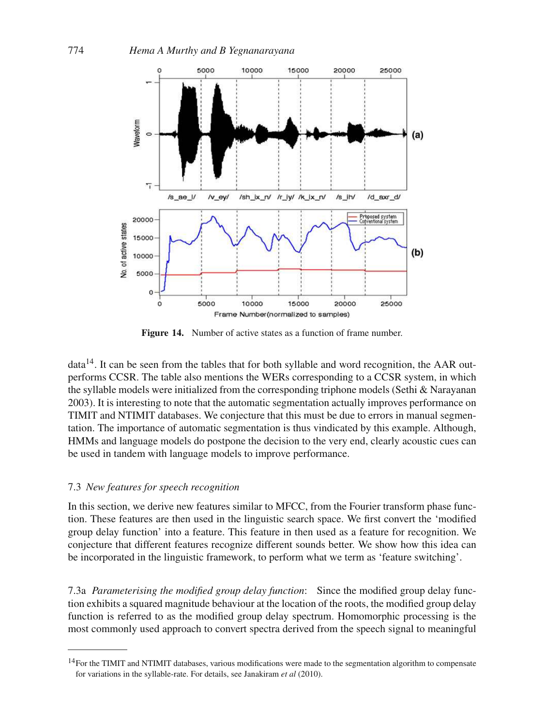

**Figure 14.** Number of active states as a function of frame number.

 $data^{14}$ . It can be seen from the tables that for both syllable and word recognition, the AAR outperforms CCSR. The table also mentions the WERs corresponding to a CCSR system, in which the syllable models were initialized from the corresponding triphone models (Sethi & Narayanan 2003). It is interesting to note that the automatic segmentation actually improves performance on TIMIT and NTIMIT databases. We conjecture that this must be due to errors in manual segmentation. The importance of automatic segmentation is thus vindicated by this example. Although, HMMs and language models do postpone the decision to the very end, clearly acoustic cues can be used in tandem with language models to improve performance.

#### 7.3 *New features for speech recognition*

In this section, we derive new features similar to MFCC, from the Fourier transform phase function. These features are then used in the linguistic search space. We first convert the 'modified group delay function' into a feature. This feature in then used as a feature for recognition. We conjecture that different features recognize different sounds better. We show how this idea can be incorporated in the linguistic framework, to perform what we term as 'feature switching'.

7.3a *Parameterising the modified group delay function*: Since the modified group delay function exhibits a squared magnitude behaviour at the location of the roots, the modified group delay function is referred to as the modified group delay spectrum. Homomorphic processing is the most commonly used approach to convert spectra derived from the speech signal to meaningful

<sup>&</sup>lt;sup>14</sup>For the TIMIT and NTIMIT databases, various modifications were made to the segmentation algorithm to compensate for variations in the syllable-rate. For details, see Janakiram *et al* (2010).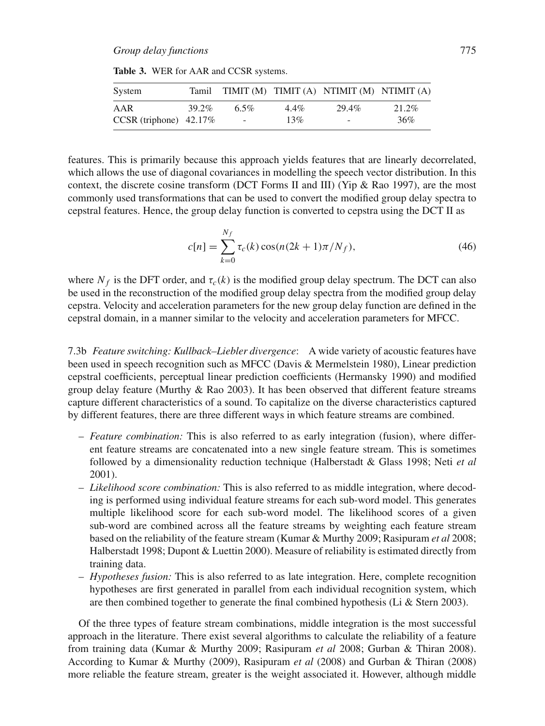**Table 3.** WER for AAR and CCSR systems.

| System                    |       |                          |         | Tamil TIMIT (M) TIMIT (A) NTIMIT (M) NTIMIT (A) |       |
|---------------------------|-------|--------------------------|---------|-------------------------------------------------|-------|
| AAR                       | 39.2% | 6.5%                     | $4.4\%$ | 29.4%                                           | 21.2% |
| CCSR (triphone) $42.17\%$ |       | $\overline{\phantom{0}}$ | 13%     | $\overline{\phantom{0}}$                        | 36%   |

features. This is primarily because this approach yields features that are linearly decorrelated, which allows the use of diagonal covariances in modelling the speech vector distribution. In this context, the discrete cosine transform (DCT Forms II and III) (Yip & Rao 1997), are the most commonly used transformations that can be used to convert the modified group delay spectra to cepstral features. Hence, the group delay function is converted to cepstra using the DCT II as

$$
c[n] = \sum_{k=0}^{N_f} \tau_c(k) \cos(n(2k+1)\pi/N_f),
$$
\n(46)

where  $N_f$  is the DFT order, and  $\tau_c(k)$  is the modified group delay spectrum. The DCT can also be used in the reconstruction of the modified group delay spectra from the modified group delay cepstra. Velocity and acceleration parameters for the new group delay function are defined in the cepstral domain, in a manner similar to the velocity and acceleration parameters for MFCC.

7.3b *Feature switching: Kullback–Liebler divergence*: A wide variety of acoustic features have been used in speech recognition such as MFCC (Davis & Mermelstein 1980), Linear prediction cepstral coefficients, perceptual linear prediction coefficients (Hermansky 1990) and modified group delay feature (Murthy & Rao 2003). It has been observed that different feature streams capture different characteristics of a sound. To capitalize on the diverse characteristics captured by different features, there are three different ways in which feature streams are combined.

- *Feature combination:* This is also referred to as early integration (fusion), where different feature streams are concatenated into a new single feature stream. This is sometimes followed by a dimensionality reduction technique (Halberstadt & Glass 1998; Neti *et al* 2001).
- *Likelihood score combination:* This is also referred to as middle integration, where decoding is performed using individual feature streams for each sub-word model. This generates multiple likelihood score for each sub-word model. The likelihood scores of a given sub-word are combined across all the feature streams by weighting each feature stream based on the reliability of the feature stream (Kumar & Murthy 2009; Rasipuram *et al* 2008; Halberstadt 1998; Dupont & Luettin 2000). Measure of reliability is estimated directly from training data.
- *Hypotheses fusion:* This is also referred to as late integration. Here, complete recognition hypotheses are first generated in parallel from each individual recognition system, which are then combined together to generate the final combined hypothesis (Li & Stern 2003).

Of the three types of feature stream combinations, middle integration is the most successful approach in the literature. There exist several algorithms to calculate the reliability of a feature from training data (Kumar & Murthy 2009; Rasipuram *et al* 2008; Gurban & Thiran 2008). According to Kumar & Murthy (2009), Rasipuram *et al* (2008) and Gurban & Thiran (2008) more reliable the feature stream, greater is the weight associated it. However, although middle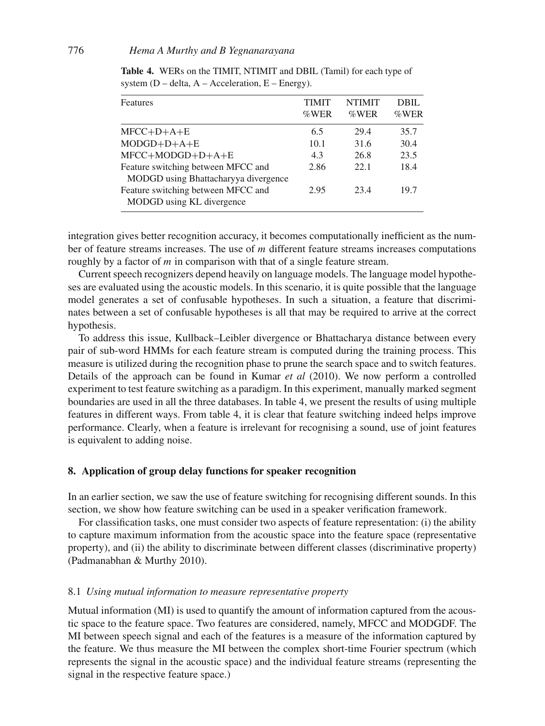| Features                                                        | <b>TIMIT</b><br>%WER | <b>NTIMIT</b><br>$\%$ WER | DBIL<br>%WER |
|-----------------------------------------------------------------|----------------------|---------------------------|--------------|
| MFCC+D+A+E                                                      | 6.5                  | 29.4                      | 35.7         |
| $MODGD+D+A+E$                                                   | 10.1                 | 31.6                      | 30.4         |
| MFCC+MODGD+D+A+E                                                | 4.3                  | 26.8                      | 23.5         |
| Feature switching between MFCC and                              | 2.86                 | 22.1                      | 18.4         |
| MODGD using Bhattacharyya divergence                            |                      |                           |              |
| Feature switching between MFCC and<br>MODGD using KL divergence | 2.95                 | 23.4                      | 19.7         |

**Table 4.** WERs on the TIMIT, NTIMIT and DBIL (Tamil) for each type of system (D – delta, A – Acceleration, E – Energy).

integration gives better recognition accuracy, it becomes computationally inefficient as the number of feature streams increases. The use of *m* different feature streams increases computations roughly by a factor of *m* in comparison with that of a single feature stream.

Current speech recognizers depend heavily on language models. The language model hypotheses are evaluated using the acoustic models. In this scenario, it is quite possible that the language model generates a set of confusable hypotheses. In such a situation, a feature that discriminates between a set of confusable hypotheses is all that may be required to arrive at the correct hypothesis.

To address this issue, Kullback–Leibler divergence or Bhattacharya distance between every pair of sub-word HMMs for each feature stream is computed during the training process. This measure is utilized during the recognition phase to prune the search space and to switch features. Details of the approach can be found in Kumar *et al* (2010). We now perform a controlled experiment to test feature switching as a paradigm. In this experiment, manually marked segment boundaries are used in all the three databases. In table 4, we present the results of using multiple features in different ways. From table 4, it is clear that feature switching indeed helps improve performance. Clearly, when a feature is irrelevant for recognising a sound, use of joint features is equivalent to adding noise.

#### **8. Application of group delay functions for speaker recognition**

In an earlier section, we saw the use of feature switching for recognising different sounds. In this section, we show how feature switching can be used in a speaker verification framework.

For classification tasks, one must consider two aspects of feature representation: (i) the ability to capture maximum information from the acoustic space into the feature space (representative property), and (ii) the ability to discriminate between different classes (discriminative property) (Padmanabhan & Murthy 2010).

#### 8.1 *Using mutual information to measure representative property*

Mutual information (MI) is used to quantify the amount of information captured from the acoustic space to the feature space. Two features are considered, namely, MFCC and MODGDF. The MI between speech signal and each of the features is a measure of the information captured by the feature. We thus measure the MI between the complex short-time Fourier spectrum (which represents the signal in the acoustic space) and the individual feature streams (representing the signal in the respective feature space.)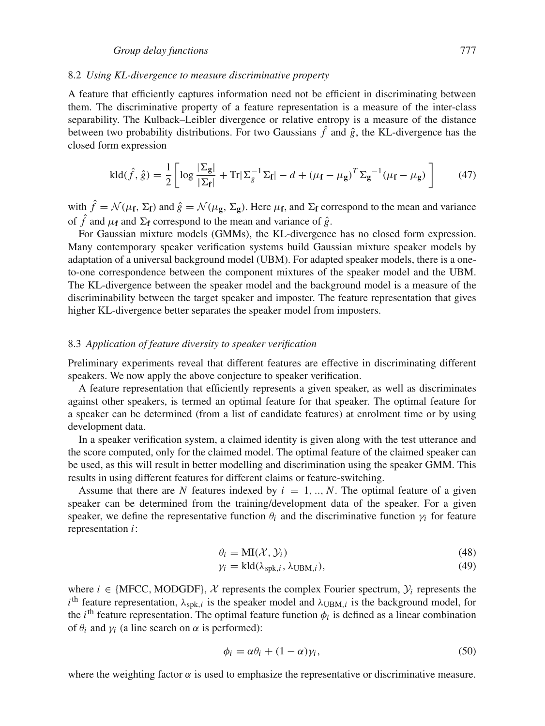#### 8.2 *Using KL-divergence to measure discriminative property*

A feature that efficiently captures information need not be efficient in discriminating between them. The discriminative property of a feature representation is a measure of the inter-class separability. The Kulback–Leibler divergence or relative entropy is a measure of the distance between two probability distributions. For two Gaussians  $\hat{f}$  and  $\hat{g}$ , the KL-divergence has the closed form expression

$$
kld(\hat{f}, \hat{g}) = \frac{1}{2} \left[ \log \frac{|\Sigma_{\mathbf{g}}|}{|\Sigma_{\mathbf{f}}|} + \text{Tr}|\Sigma_{g}^{-1}\Sigma_{\mathbf{f}}| - d + (\mu_{\mathbf{f}} - \mu_{\mathbf{g}})^{T} \Sigma_{\mathbf{g}}^{-1} (\mu_{\mathbf{f}} - \mu_{\mathbf{g}}) \right]
$$
(47)

with  $\hat{f} = \mathcal{N}(\mu_f, \Sigma_f)$  and  $\hat{g} = \mathcal{N}(\mu_g, \Sigma_g)$ . Here  $\mu_f$ , and  $\Sigma_f$  correspond to the mean and variance of  $\hat{f}$  and  $\mu_f$  and  $\Sigma_f$  correspond to the mean and variance of  $\hat{g}$ .

For Gaussian mixture models (GMMs), the KL-divergence has no closed form expression. Many contemporary speaker verification systems build Gaussian mixture speaker models by adaptation of a universal background model (UBM). For adapted speaker models, there is a oneto-one correspondence between the component mixtures of the speaker model and the UBM. The KL-divergence between the speaker model and the background model is a measure of the discriminability between the target speaker and imposter. The feature representation that gives higher KL-divergence better separates the speaker model from imposters.

#### 8.3 *Application of feature diversity to speaker verification*

Preliminary experiments reveal that different features are effective in discriminating different speakers. We now apply the above conjecture to speaker verification.

A feature representation that efficiently represents a given speaker, as well as discriminates against other speakers, is termed an optimal feature for that speaker. The optimal feature for a speaker can be determined (from a list of candidate features) at enrolment time or by using development data.

In a speaker verification system, a claimed identity is given along with the test utterance and the score computed, only for the claimed model. The optimal feature of the claimed speaker can be used, as this will result in better modelling and discrimination using the speaker GMM. This results in using different features for different claims or feature-switching.

Assume that there are N features indexed by  $i = 1, \dots, N$ . The optimal feature of a given speaker can be determined from the training/development data of the speaker. For a given speaker, we define the representative function  $\theta_i$  and the discriminative function  $\gamma_i$  for feature representation *i*:

$$
\theta_i = MI(\mathcal{X}, \mathcal{Y}_i) \tag{48}
$$

$$
\gamma_i = \text{kld}(\lambda_{\text{spk},i}, \lambda_{\text{UBM},i}),\tag{49}
$$

where  $i \in \{MFCC, MODGDF\}, \mathcal{X}$  represents the complex Fourier spectrum,  $\mathcal{Y}_i$  represents the  $i$ <sup>th</sup> feature representation,  $\lambda_{spk,i}$  is the speaker model and  $\lambda_{UBM,i}$  is the background model, for the *i*<sup>th</sup> feature representation. The optimal feature function  $\phi_i$  is defined as a linear combination of  $\theta_i$  and  $\gamma_i$  (a line search on  $\alpha$  is performed):

$$
\phi_i = \alpha \theta_i + (1 - \alpha)\gamma_i,\tag{50}
$$

where the weighting factor  $\alpha$  is used to emphasize the representative or discriminative measure.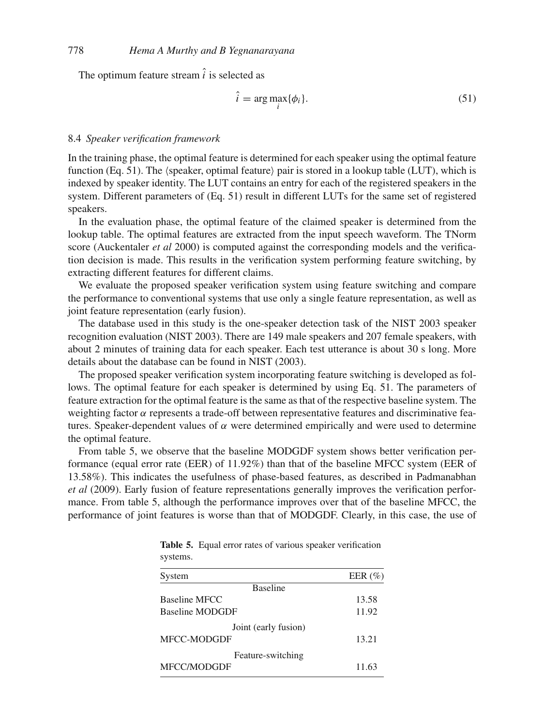The optimum feature stream  $\hat{i}$  is selected as

$$
\hat{i} = \arg \max_{i} \{\phi_i\}.
$$
\n(51)

#### 8.4 *Speaker verification framework*

In the training phase, the optimal feature is determined for each speaker using the optimal feature function  $(Eq. 51)$ . The (speaker, optimal feature) pair is stored in a lookup table (LUT), which is indexed by speaker identity. The LUT contains an entry for each of the registered speakers in the system. Different parameters of (Eq. 51) result in different LUTs for the same set of registered speakers.

In the evaluation phase, the optimal feature of the claimed speaker is determined from the lookup table. The optimal features are extracted from the input speech waveform. The TNorm score (Auckentaler *et al* 2000) is computed against the corresponding models and the verification decision is made. This results in the verification system performing feature switching, by extracting different features for different claims.

We evaluate the proposed speaker verification system using feature switching and compare the performance to conventional systems that use only a single feature representation, as well as joint feature representation (early fusion).

The database used in this study is the one-speaker detection task of the NIST 2003 speaker recognition evaluation (NIST 2003). There are 149 male speakers and 207 female speakers, with about 2 minutes of training data for each speaker. Each test utterance is about 30 s long. More details about the database can be found in NIST (2003).

The proposed speaker verification system incorporating feature switching is developed as follows. The optimal feature for each speaker is determined by using Eq. 51. The parameters of feature extraction for the optimal feature is the same as that of the respective baseline system. The weighting factor  $\alpha$  represents a trade-off between representative features and discriminative features. Speaker-dependent values of  $\alpha$  were determined empirically and were used to determine the optimal feature.

From table 5, we observe that the baseline MODGDF system shows better verification performance (equal error rate (EER) of 11.92%) than that of the baseline MFCC system (EER of 13.58%). This indicates the usefulness of phase-based features, as described in Padmanabhan *et al* (2009). Early fusion of feature representations generally improves the verification performance. From table 5, although the performance improves over that of the baseline MFCC, the performance of joint features is worse than that of MODGDF. Clearly, in this case, the use of

| System                              | EER $(\% )$ |
|-------------------------------------|-------------|
| <b>Baseline</b>                     |             |
| Baseline MFCC                       | 13.58       |
| Baseline MODGDF                     | 11.92       |
| Joint (early fusion)<br>MFCC-MODGDF | 13.21       |
| Feature-switching<br>MFCC/MODGDF    | 11.63       |

**Table 5.** Equal error rates of various speaker verification systems.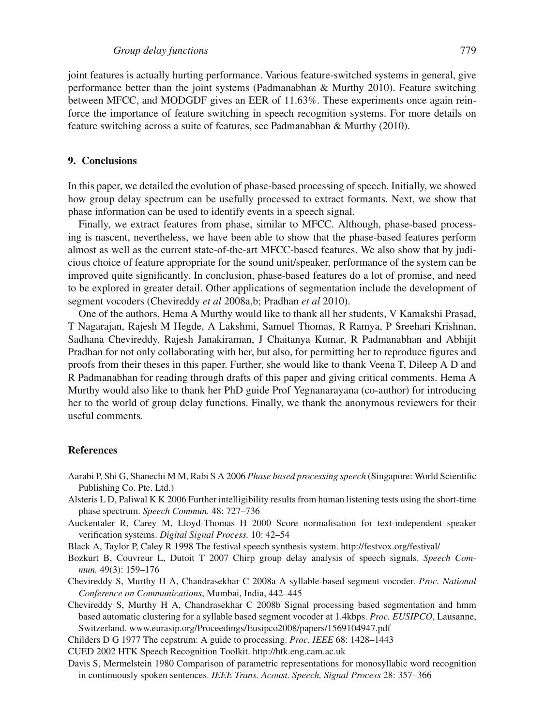joint features is actually hurting performance. Various feature-switched systems in general, give performance better than the joint systems (Padmanabhan & Murthy 2010). Feature switching between MFCC, and MODGDF gives an EER of 11.63%. These experiments once again reinforce the importance of feature switching in speech recognition systems. For more details on feature switching across a suite of features, see Padmanabhan & Murthy (2010).

#### **9. Conclusions**

In this paper, we detailed the evolution of phase-based processing of speech. Initially, we showed how group delay spectrum can be usefully processed to extract formants. Next, we show that phase information can be used to identify events in a speech signal.

Finally, we extract features from phase, similar to MFCC. Although, phase-based processing is nascent, nevertheless, we have been able to show that the phase-based features perform almost as well as the current state-of-the-art MFCC-based features. We also show that by judicious choice of feature appropriate for the sound unit/speaker, performance of the system can be improved quite significantly. In conclusion, phase-based features do a lot of promise, and need to be explored in greater detail. Other applications of segmentation include the development of segment vocoders (Chevireddy *et al* 2008a,b; Pradhan *et al* 2010).

One of the authors, Hema A Murthy would like to thank all her students, V Kamakshi Prasad, T Nagarajan, Rajesh M Hegde, A Lakshmi, Samuel Thomas, R Ramya, P Sreehari Krishnan, Sadhana Chevireddy, Rajesh Janakiraman, J Chaitanya Kumar, R Padmanabhan and Abhijit Pradhan for not only collaborating with her, but also, for permitting her to reproduce figures and proofs from their theses in this paper. Further, she would like to thank Veena T, Dileep A D and R Padmanabhan for reading through drafts of this paper and giving critical comments. Hema A Murthy would also like to thank her PhD guide Prof Yegnanarayana (co-author) for introducing her to the world of group delay functions. Finally, we thank the anonymous reviewers for their useful comments.

#### **References**

- Aarabi P, Shi G, Shanechi M M, Rabi S A 2006 *Phase based processing speech* (Singapore: World Scientific Publishing Co. Pte. Ltd.)
- Alsteris L D, Paliwal K K 2006 Further intelligibility results from human listening tests using the short-time phase spectrum. *Speech Commun.* 48: 727–736
- Auckentaler R, Carey M, Lloyd-Thomas H 2000 Score normalisation for text-independent speaker verification systems. *Digital Signal Process.* 10: 42–54
- Black A, Taylor P, Caley R 1998 The festival speech synthesis system. http://festvox.org/festival/
- Bozkurt B, Couvreur L, Dutoit T 2007 Chirp group delay analysis of speech signals. *Speech Commun.* 49(3): 159–176

Chevireddy S, Murthy H A, Chandrasekhar C 2008a A syllable-based segment vocoder. *Proc. National Conference on Communications*, Mumbai, India, 442–445

Chevireddy S, Murthy H A, Chandrasekhar C 2008b Signal processing based segmentation and hmm based automatic clustering for a syllable based segment vocoder at 1.4kbps. *Proc. EUSIPCO*, Lausanne, Switzerland. www.eurasip.org/Proceedings/Eusipco2008/papers/1569104947.pdf

Childers D G 1977 The cepstrum: A guide to processing. *Proc. IEEE* 68: 1428–1443

CUED 2002 HTK Speech Recognition Toolkit. http://htk.eng.cam.ac.uk

Davis S, Mermelstein 1980 Comparison of parametric representations for monosyllabic word recognition in continuously spoken sentences. *IEEE Trans. Acoust. Speech, Signal Process* 28: 357–366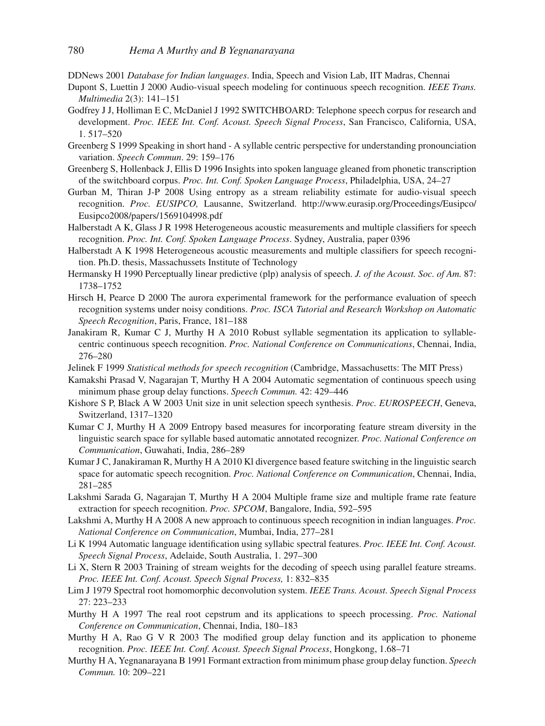- DDNews 2001 *Database for Indian languages*. India, Speech and Vision Lab, IIT Madras, Chennai
- Dupont S, Luettin J 2000 Audio-visual speech modeling for continuous speech recognition. *IEEE Trans. Multimedia* 2(3): 141–151
- Godfrey J J, Holliman E C, McDaniel J 1992 SWITCHBOARD: Telephone speech corpus for research and development. *Proc. IEEE Int. Conf. Acoust. Speech Signal Process*, San Francisco, California, USA, 1. 517–520
- Greenberg S 1999 Speaking in short hand A syllable centric perspective for understanding pronounciation variation. *Speech Commun*. 29: 159–176
- Greenberg S, Hollenback J, Ellis D 1996 Insights into spoken language gleaned from phonetic transcription of the switchboard corpus. *Proc. Int. Conf. Spoken Language Process*, Philadelphia, USA, 24–27
- Gurban M, Thiran J-P 2008 Using entropy as a stream reliability estimate for audio-visual speech recognition. *Proc. EUSIPCO,* Lausanne, Switzerland. http://www.eurasip.org/Proceedings/Eusipco/ Eusipco2008/papers/1569104998.pdf
- Halberstadt A K, Glass J R 1998 Heterogeneous acoustic measurements and multiple classifiers for speech recognition. *Proc. Int. Conf. Spoken Language Process*. Sydney, Australia, paper 0396
- Halberstadt A K 1998 Heterogeneous acoustic measurements and multiple classifiers for speech recognition. Ph.D. thesis, Massachussets Institute of Technology
- Hermansky H 1990 Perceptually linear predictive (plp) analysis of speech. *J. of the Acoust. Soc. of Am.* 87: 1738–1752
- Hirsch H, Pearce D 2000 The aurora experimental framework for the performance evaluation of speech recognition systems under noisy conditions. *Proc. ISCA Tutorial and Research Workshop on Automatic Speech Recognition*, Paris, France, 181–188
- Janakiram R, Kumar C J, Murthy H A 2010 Robust syllable segmentation its application to syllablecentric continuous speech recognition. *Proc. National Conference on Communications*, Chennai, India, 276–280
- Jelinek F 1999 *Statistical methods for speech recognition* (Cambridge, Massachusetts: The MIT Press)
- Kamakshi Prasad V, Nagarajan T, Murthy H A 2004 Automatic segmentation of continuous speech using minimum phase group delay functions. *Speech Commun.* 42: 429–446
- Kishore S P, Black A W 2003 Unit size in unit selection speech synthesis. *Proc. EUROSPEECH*, Geneva, Switzerland, 1317–1320
- Kumar C J, Murthy H A 2009 Entropy based measures for incorporating feature stream diversity in the linguistic search space for syllable based automatic annotated recognizer. *Proc. National Conference on Communication*, Guwahati, India, 286–289
- Kumar J C, Janakiraman R, Murthy H A 2010 Kl divergence based feature switching in the linguistic search space for automatic speech recognition. *Proc. National Conference on Communication*, Chennai, India, 281–285
- Lakshmi Sarada G, Nagarajan T, Murthy H A 2004 Multiple frame size and multiple frame rate feature extraction for speech recognition. *Proc. SPCOM*, Bangalore, India, 592–595
- Lakshmi A, Murthy H A 2008 A new approach to continuous speech recognition in indian languages. *Proc. National Conference on Communication*, Mumbai, India, 277–281
- Li K 1994 Automatic language identification using syllabic spectral features. *Proc. IEEE Int. Conf. Acoust. Speech Signal Process*, Adelaide, South Australia, 1. 297–300
- Li X, Stern R 2003 Training of stream weights for the decoding of speech using parallel feature streams. *Proc. IEEE Int. Conf. Acoust. Speech Signal Process,* 1: 832–835
- Lim J 1979 Spectral root homomorphic deconvolution system. *IEEE Trans. Acoust. Speech Signal Process* 27: 223–233
- Murthy H A 1997 The real root cepstrum and its applications to speech processing. *Proc. National Conference on Communication*, Chennai, India, 180–183
- Murthy H A, Rao G V R 2003 The modified group delay function and its application to phoneme recognition. *Proc. IEEE Int. Conf. Acoust. Speech Signal Process*, Hongkong, 1.68–71
- Murthy H A, Yegnanarayana B 1991 Formant extraction from minimum phase group delay function. *Speech Commun.* 10: 209–221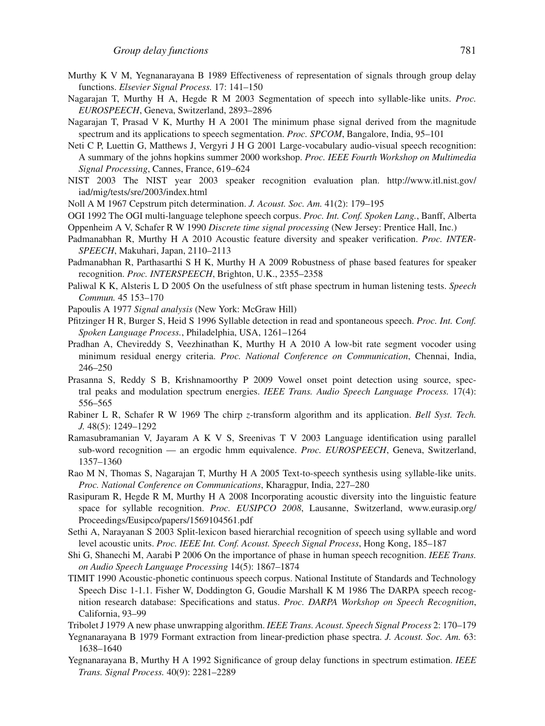- Murthy K V M, Yegnanarayana B 1989 Effectiveness of representation of signals through group delay functions. *Elsevier Signal Process.* 17: 141–150
- Nagarajan T, Murthy H A, Hegde R M 2003 Segmentation of speech into syllable-like units. *Proc. EUROSPEECH*, Geneva, Switzerland, 2893–2896
- Nagarajan T, Prasad V K, Murthy H A 2001 The minimum phase signal derived from the magnitude spectrum and its applications to speech segmentation. *Proc. SPCOM*, Bangalore, India, 95–101
- Neti C P, Luettin G, Matthews J, Vergyri J H G 2001 Large-vocabulary audio-visual speech recognition: A summary of the johns hopkins summer 2000 workshop. *Proc. IEEE Fourth Workshop on Multimedia Signal Processing*, Cannes, France, 619–624
- NIST 2003 The NIST year 2003 speaker recognition evaluation plan. http://www.itl.nist.gov/ iad/mig/tests/sre/2003/index.html
- Noll A M 1967 Cepstrum pitch determination. *J. Acoust. Soc. Am.* 41(2): 179–195
- OGI 1992 The OGI multi-language telephone speech corpus. *Proc. Int. Conf. Spoken Lang.*, Banff, Alberta
- Oppenheim A V, Schafer R W 1990 *Discrete time signal processing* (New Jersey: Prentice Hall, Inc.)
- Padmanabhan R, Murthy H A 2010 Acoustic feature diversity and speaker verification. *Proc. INTER-SPEECH*, Makuhari, Japan, 2110–2113
- Padmanabhan R, Parthasarthi S H K, Murthy H A 2009 Robustness of phase based features for speaker recognition. *Proc. INTERSPEECH*, Brighton, U.K., 2355–2358
- Paliwal K K, Alsteris L D 2005 On the usefulness of stft phase spectrum in human listening tests. *Speech Commun.* 45 153–170
- Papoulis A 1977 *Signal analysis* (New York: McGraw Hill)
- Pfitzinger H R, Burger S, Heid S 1996 Syllable detection in read and spontaneous speech. *Proc. Int. Conf. Spoken Language Process.*, Philadelphia, USA, 1261–1264
- Pradhan A, Chevireddy S, Veezhinathan K, Murthy H A 2010 A low-bit rate segment vocoder using minimum residual energy criteria. *Proc. National Conference on Communication*, Chennai, India, 246–250
- Prasanna S, Reddy S B, Krishnamoorthy P 2009 Vowel onset point detection using source, spectral peaks and modulation spectrum energies. *IEEE Trans. Audio Speech Language Process.* 17(4): 556–565
- Rabiner L R, Schafer R W 1969 The chirp *z*-transform algorithm and its application. *Bell Syst. Tech. J.* 48(5): 1249–1292
- Ramasubramanian V, Jayaram A K V S, Sreenivas T V 2003 Language identification using parallel sub-word recognition — an ergodic hmm equivalence. *Proc. EUROSPEECH*, Geneva, Switzerland, 1357–1360
- Rao M N, Thomas S, Nagarajan T, Murthy H A 2005 Text-to-speech synthesis using syllable-like units. *Proc. National Conference on Communications*, Kharagpur, India, 227–280
- Rasipuram R, Hegde R M, Murthy H A 2008 Incorporating acoustic diversity into the linguistic feature space for syllable recognition. *Proc. EUSIPCO 2008*, Lausanne, Switzerland, www.eurasip.org/ Proceedings/Eusipco/papers/1569104561.pdf
- Sethi A, Narayanan S 2003 Split-lexicon based hierarchial recognition of speech using syllable and word level acoustic units. *Proc. IEEE Int. Conf. Acoust. Speech Signal Process*, Hong Kong, 185–187
- Shi G, Shanechi M, Aarabi P 2006 On the importance of phase in human speech recognition. *IEEE Trans. on Audio Speech Language Processing* 14(5): 1867–1874
- TIMIT 1990 Acoustic-phonetic continuous speech corpus. National Institute of Standards and Technology Speech Disc 1-1.1. Fisher W, Doddington G, Goudie Marshall K M 1986 The DARPA speech recognition research database: Specifications and status. *Proc. DARPA Workshop on Speech Recognition*, California, 93–99
- Tribolet J 1979 A new phase unwrapping algorithm. *IEEE Trans. Acoust. Speech Signal Process* 2: 170–179
- Yegnanarayana B 1979 Formant extraction from linear-prediction phase spectra. *J. Acoust. Soc. Am.* 63: 1638–1640
- Yegnanarayana B, Murthy H A 1992 Significance of group delay functions in spectrum estimation. *IEEE Trans. Signal Process.* 40(9): 2281–2289